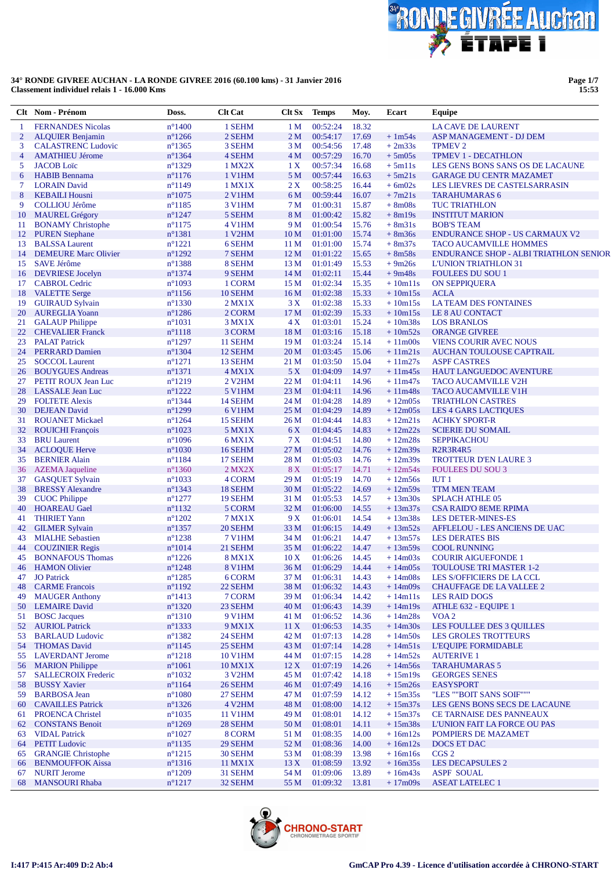

**Page 1/7 15:53**

|                | Clt Nom - Prénom                                | Doss.                                | <b>Clt Cat</b>      | Clt Sx                  | <b>Temps</b>         | Moy.           | Ecart                  | Equipe                                                      |
|----------------|-------------------------------------------------|--------------------------------------|---------------------|-------------------------|----------------------|----------------|------------------------|-------------------------------------------------------------|
| 1              | <b>FERNANDES Nicolas</b>                        | $n^{\circ}$ 1400                     | 1 SEHM              | 1 <sub>M</sub>          | 00:52:24             | 18.32          |                        | LA CAVE DE LAURENT                                          |
| $\overline{2}$ | <b>ALQUIER Benjamin</b>                         | $n^{\circ}$ 1266                     | 2 SEHM              | 2 <sub>M</sub>          | 00:54:17             | 17.69          | $+1m54s$               | ASP MANAGEMENT - DJ DEM                                     |
| 3              | <b>CALASTRENC Ludovic</b>                       | $n^{\circ}$ 1365                     | 3 SEHM              | 3 M                     | 00:54:56             | 17.48          | $+2m33s$               | <b>TPMEV 2</b>                                              |
| 4              | <b>AMATHIEU Jérome</b>                          | $n^{\circ}$ 1364                     | 4 SEHM              | 4 <sub>M</sub>          | 00:57:29             | 16.70          | $+5m05s$               | <b>TPMEV 1 - DECATHLON</b>                                  |
| 5              | <b>JACOB</b> Loïc                               | $n^{\circ}$ 1329                     | 1 MX2X              | 1 X                     | 00:57:34             | 16.68          | $+5m11s$               | LES GENS BONS SANS OS DE LACAUNE                            |
| 6              | <b>HABIB</b> Bennama                            | $n^{\circ}1176$                      | 1 V1HM              | 5 M                     | 00:57:44             | 16.63          | $+5m21s$               | <b>GARAGE DU CENTR MAZAMET</b>                              |
| 7              | <b>LORAIN David</b>                             | $n^{\circ}1149$                      | 1 MX1X              | 2X                      | 00:58:25             | 16.44          | $+6m02s$               | LES LIEVRES DE CASTELSARRASIN                               |
| 8              | <b>KEBAILI Housni</b>                           | $n^{\circ}1075$                      | 2 V1HM              | 6 M                     | 00:59:44             | 16.07          | $+7m21s$               | <b>TARAHUMARAS 6</b>                                        |
| 9              | <b>COLLIOU Jérôme</b>                           | $n^{\circ}1185$                      | 3 V1HM              | 7 M                     | 01:00:31             | 15.87          | $+8m08s$               | <b>TUC TRIATHLON</b>                                        |
| 10             | <b>MAUREL Grégory</b>                           | $n^{\circ}$ 1247                     | 5 SEHM              | 8 M                     | 01:00:42             | 15.82          | $+8m19s$               | <b>INSTITUT MARION</b>                                      |
| 11             | <b>BONAMY</b> Christophe                        | $n^{\circ}1175$                      | 4 V1HM              | 9 M                     | 01:00:54             | 15.76          | $+8m31s$               | <b>BOB'S TEAM</b>                                           |
| 12             | <b>PUREN Stephane</b>                           | $n^{\circ}$ 1381                     | 1 V2HM              | 10 <sub>M</sub>         | 01:01:00             | 15.74          | $+8m36s$               | <b>ENDURANCE SHOP - US CARMAUX V2</b>                       |
| 13             | <b>BALSSA Laurent</b>                           | $n^{\circ}1221$                      | 6 SEHM              | 11 <sub>M</sub>         | 01:01:00             | 15.74          | $+8m37s$               | <b>TACO AUCAMVILLE HOMMES</b>                               |
| 14             | <b>DEMEURE</b> Marc Olivier                     | $n^{\circ}$ 1292                     | 7 SEHM              | 12 <sub>M</sub>         | 01:01:22             | 15.65          | $+8m58s$               | <b>ENDURANCE SHOP - ALBI TRIATHLON SENIOR</b>               |
| 15<br>16       | <b>SAVE Jérôme</b>                              | $n^{\circ}$ 1388<br>$n^{\circ}$ 1374 | 8 SEHM<br>9 SEHM    | 13 M<br>14 <sub>M</sub> | 01:01:49             | 15.53<br>15.44 | $+9m26s$<br>$+9m48s$   | <b>L'UNION TRIATHLON 31</b>                                 |
| 17             | <b>DEVRIESE</b> Jocelyn<br><b>CABROL Cedric</b> | $n^{\circ}1093$                      | 1 CORM              | 15 M                    | 01:02:11<br>01:02:34 | 15.35          | $+10m11s$              | <b>FOULEES DU SOU 1</b><br><b>ON SEPPIQUERA</b>             |
| 18             | <b>VALETTE Serge</b>                            | $n^{\circ}$ 1156                     | 10 SEHM             | 16 <sub>M</sub>         | 01:02:38             | 15.33          | $+10m15s$              | <b>ACLA</b>                                                 |
| 19             | <b>GUIRAUD Sylvain</b>                          | $n^{\circ}$ 1330                     | $2$ MX1X            | 3X                      | 01:02:38             | 15.33          | $+10m15s$              | LA TEAM DES FONTAINES                                       |
| 20             | <b>AUREGLIA Yoann</b>                           | $n^{\circ}$ 1286                     | 2 CORM              | 17 M                    | 01:02:39             | 15.33          | $+10m15s$              | LE 8 AU CONTACT                                             |
| 21             | <b>GALAUP Philippe</b>                          | $n^{\circ}1031$                      | $3$ MX $1X$         | 4X                      | 01:03:01             | 15.24          | $+10m38s$              | <b>LOS BRANLOS</b>                                          |
| 22             | <b>CHEVALIER Franck</b>                         | $n^{\circ}1118$                      | 3 CORM              | 18 <sub>M</sub>         | 01:03:16             | 15.18          | $+10m52s$              | <b>ORANGE GIVREE</b>                                        |
| 23             | <b>PALAT Patrick</b>                            | $n^{\circ}$ 1297                     | 11 SEHM             | 19 <sub>M</sub>         | 01:03:24             | 15.14          | $+11m00s$              | <b>VIENS COURIR AVEC NOUS</b>                               |
| 24             | <b>PERRARD Damien</b>                           | $n^{\circ}$ 1304                     | 12 SEHM             | 20 <sub>M</sub>         | 01:03:45             | 15.06          | $+11m21s$              | AUCHAN TOULOUSE CAPTRAIL                                    |
| 25             | <b>SOCCOL Laurent</b>                           | $n^{\circ}1271$                      | 13 SEHM             | 21 M                    | 01:03:50             | 15.04          | $+11m27s$              | <b>ASPF CASTRES</b>                                         |
| 26             | <b>BOUYGUES Andreas</b>                         | $n^{\circ}1371$                      | $4$ MX1X            | 5 X                     | 01:04:09             | 14.97          | $+11m45s$              | <b>HAUT LANGUEDOC AVENTURE</b>                              |
| 27             | PETIT ROUX Jean Luc                             | $n^{\circ}1219$                      | 2 V <sub>2</sub> HM | 22 M                    | 01:04:11             | 14.96          | $+11m47s$              | <b>TACO AUCAMVILLE V2H</b>                                  |
| 28             | <b>LASSALE</b> Jean Luc                         | $n^{\circ}$ 1222                     | <b>5 V1HM</b>       | 23 M                    | 01:04:11             | 14.96          | $+11m48s$              | <b>TACO AUCAMVILLE V1H</b>                                  |
| 29             | <b>FOLTETE Alexis</b>                           | $n^{\circ}$ 1344                     | 14 SEHM             | 24 M                    | 01:04:28             | 14.89          | $+12m05s$              | <b>TRIATHLON CASTRES</b>                                    |
| 30             | <b>DEJEAN</b> David                             | $n^{\circ}$ 1299                     | 6 V1HM              | 25 M                    | 01:04:29             | 14.89          | $+12m05s$              | <b>LES 4 GARS LACTIQUES</b>                                 |
| 31             | <b>ROUANET Mickael</b>                          | $n^{\circ}$ 1264                     | 15 SEHM             | 26 M                    | 01:04:44             | 14.83          | $+12m21s$              | <b>ACHKY SPORT-R</b>                                        |
| 32             | <b>ROUICHI</b> François                         | $n^{\circ}1023$                      | 5 MX1X              | 6 X                     | 01:04:45             | 14.83          | $+12m22s$              | <b>SCIERIE DU SOMAIL</b>                                    |
| 33             | <b>BRU</b> Laurent                              | $n^{\circ}1096$                      | 6 MX1X              | 7X                      | 01:04:51             | 14.80          | $+12m28s$              | <b>SEPPIKACHOU</b>                                          |
| 34             | <b>ACLOQUE Herve</b>                            | $n^{\circ}1030$                      | 16 SEHM             | 27 M                    | 01:05:02             | 14.76          | $+12m39s$              | R <sub>2</sub> R <sub>3</sub> R <sub>4</sub> R <sub>5</sub> |
| 35             | <b>BERNIER Alain</b>                            | $n^{\circ}1184$                      | 17 SEHM             | 28 M                    | 01:05:03             | 14.76          | $+12m39s$              | <b>TROTTEUR D'EN LAURE 3</b>                                |
| 36             | <b>AZEMA</b> Jaqueline                          | $n^{\circ}$ 1360                     | $2$ MX $2X$         | 8 X                     | 01:05:17             | 14.71          | $+12m54s$              | <b>FOULEES DU SOU 3</b>                                     |
| 37             | <b>GASQUET Sylvain</b>                          | $n^{\circ}1033$                      | 4 CORM              | 29 M                    | 01:05:19             | 14.70          | $+12m56s$              | IUT1                                                        |
| 38             | <b>BRESSY Alexandre</b>                         | $n^{\circ}$ 1343                     | 18 SEHM             | 30 <sub>M</sub>         | 01:05:22             | 14.69          | $+12m59s$              | <b>TTM MEN TEAM</b>                                         |
| 39             | <b>CUOC</b> Philippe                            | $n^{\circ}1277$                      | 19 SEHM             | 31 M                    | 01:05:53             | 14.57          | $+13m30s$              | <b>SPLACH ATHLE 05</b>                                      |
| 40             | <b>HOAREAU</b> Gael                             | $n^{\circ}1132$                      | 5 CORM              | 32 M                    | 01:06:00             | 14.55          | $+13m37s$              | <b>CSA RAID'O 8EME RPIMA</b>                                |
| 41             | <b>THIRIET Yann</b>                             | $n^{\circ}1202$                      | 7 MX1X              | 9 X                     | 01:06:01             | 14.54          | $+13m38s$              | <b>LES DETER-MINES-ES</b>                                   |
| 42             | <b>GILMER Sylvain</b>                           | $n^{\circ}$ 1357                     | 20 SEHM             | 33 M                    | 01:06:15             | 14.49          | $+13m52s$              | AFFLELOU - LES ANCIENS DE UAC                               |
| 43             | <b>MIALHE</b> Sebastien                         | $n^{\circ}1238$                      | <b>7 V1HM</b>       | 34 M                    | 01:06:21             | 14.47          | $+13m57s$              | <b>LES DERATES BIS</b>                                      |
| 44             | <b>COUZINIER Regis</b>                          | $n^{\circ}1014$                      | 21 SEHM             | 35 M                    | 01:06:22             | 14.47          | $+13m59s$              | <b>COOL RUNNING</b>                                         |
| 45             | <b>BONNAFOUS Thomas</b>                         | $n^{\circ}$ 1226                     | <b>8 MX1X</b>       | 10X                     | 01:06:26             | 14.45          | $+14m03s$              | <b>COURIR AIGUEFONDE 1</b>                                  |
|                | 46 HAMON Olivier                                | $n^{\circ}$ 1248                     | <b>8 V1HM</b>       | 36 M                    | 01:06:29             | 14.44          | $+14m05s$              | TOULOUSE TRI MASTER 1-2                                     |
| 47             | <b>JO</b> Patrick                               | $n^{\circ}1285$                      | 6 CORM              | 37 M                    | 01:06:31             | 14.43          | $+14m08s$              | LES S/OFFICIERS DE LA CCL                                   |
| 48             | <b>CARME</b> Francois                           | $n^{\circ}$ 1192                     | 22 SEHM             | 38 M                    | 01:06:32             | 14.43          | $+14m09s$              | <b>CHAUFFAGE DE LA VALLEE 2</b>                             |
| 49.            | <b>MAUGER Anthony</b>                           | $n^{\circ}1413$                      | 7 CORM              | 39 M                    | 01:06:34             | 14.42          | $+14m11s$              | <b>LES RAID DOGS</b>                                        |
| 50             | <b>LEMAIRE</b> David                            | $n^{\circ}$ 1320                     | 23 SEHM             | 40 M                    | 01:06:43             | 14.39          | $+14m19s$              | ATHLE 632 - EQUIPE 1                                        |
| 51             | <b>BOSC</b> Jacques<br><b>AURIOL Patrick</b>    | $n^{\circ}1310$                      | 9 V1HM              | 41 M                    | 01:06:52             | 14.36          | $+14m28s$              | VOA <sub>2</sub><br>LES FOULLEE DES 3 QUILLES               |
| 52             | <b>BARLAUD Ludovic</b>                          | $n^{\circ}$ 1333<br>$n^{\circ}$ 1382 | 9 MX1X              | 11 X<br>42 M            | 01:06:53             | 14.35          | $+14m30s$<br>$+14m50s$ | <b>LES GROLES TROTTEURS</b>                                 |
| 53<br>54       | <b>THOMAS David</b>                             | $n^{\circ}$ 1145                     | 24 SEHM<br>25 SEHM  | 43 M                    | 01:07:13<br>01:07:14 | 14.28<br>14.28 | $+14m51s$              | <b>L'EQUIPE FORMIDABLE</b>                                  |
| 55             | <b>LAVERDANT Jerome</b>                         | $n^{\circ}1218$                      | <b>10 V1HM</b>      | 44 M                    | 01:07:15             | 14.28          | $+14m52s$              | <b>AUTERIVE 1</b>                                           |
| 56             | <b>MARION Philippe</b>                          | $n^{\circ}1061$                      | 10 MX1X             | 12X                     | 01:07:19             | 14.26          | $+14m56s$              | <b>TARAHUMARAS 5</b>                                        |
| 57             | <b>SALLECROIX Frederic</b>                      | $n^{\circ}1032$                      | 3 V2HM              | 45 M                    | 01:07:42             | 14.18          | $+15m19s$              | <b>GEORGES SENES</b>                                        |
| 58             | <b>BUSSY Xavier</b>                             | $n^{\circ}1164$                      | 26 SEHM             | 46 M                    | 01:07:49             | 14.16          | $+15m26s$              | <b>EASYSPORT</b>                                            |
| 59             | <b>BARBOSA Jean</b>                             | $n^{\circ}1080$                      | 27 SEHM             | 47 M                    | 01:07:59             | 14.12          | $+15m35s$              | "LES ""BOIT SANS SOIF"""                                    |
| 60             | <b>CAVAILLES Patrick</b>                        | $n^{\circ}$ 1326                     | 4 V2HM              | 48 M                    | 01:08:00             | 14.12          | $+15m37s$              | LES GENS BONS SECS DE LACAUNE                               |
| 61             | <b>PROENCA Christel</b>                         | $n^{\circ}1035$                      | <b>11 V1HM</b>      | 49 M                    | 01:08:01             | 14.12          | $+15m37s$              | CE TARNAISE DES PANNEAUX                                    |
| 62             | <b>CONSTANS Benoit</b>                          | $n^{\circ}1269$                      | 28 SEHM             | 50 M                    | 01:08:01             | 14.11          | $+15m38s$              | L'UNION FAIT LA FORCE OU PAS                                |
| 63             | <b>VIDAL Patrick</b>                            | $n^{\circ}1027$                      | 8 CORM              | 51 M                    | 01:08:35             | 14.00          | $+16m12s$              | POMPIERS DE MAZAMET                                         |
| 64             | <b>PETIT Ludovic</b>                            | $n^{\circ}$ 1135                     | 29 SEHM             | 52 M                    | 01:08:36             | 14.00          | $+16m12s$              | DOCS ET DAC                                                 |
| 65             | <b>GRANGIE Christophe</b>                       | $n^{\circ}1215$                      | 30 SEHM             | 53 M                    | 01:08:39             | 13.98          | $+16m16s$              | CGS <sub>2</sub>                                            |
| 66             | <b>BENMOUFFOK Aissa</b>                         | $n^{\circ}1316$                      | 11 MX1X             | 13X                     | 01:08:59             | 13.92          | $+16m35s$              | <b>LES DECAPSULES 2</b>                                     |
| 67             | <b>NURIT Jerome</b>                             | $n^{\circ}1209$                      | 31 SEHM             | 54 M                    | 01:09:06             | 13.89          | $+16m43s$              | <b>ASPF SOUAL</b>                                           |
| 68             | <b>MANSOURI Rhaba</b>                           | $n^{\circ}1217$                      | 32 SEHM             | 55 M                    | 01:09:32             | 13.81          | $+17m09s$              | <b>ASEAT LATELEC 1</b>                                      |

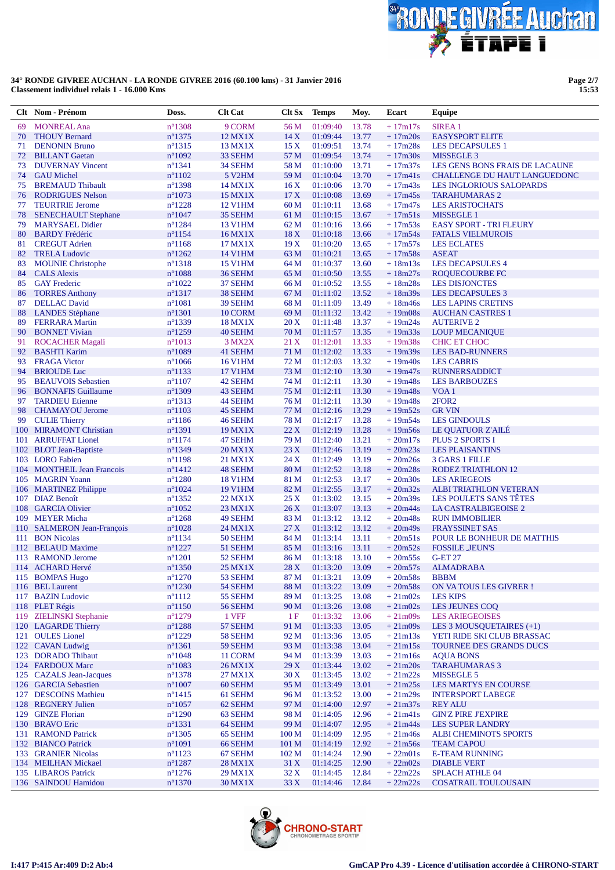

Page 2/7<br>15:53

|          | Clt Nom - Prénom                               | Doss.                                | <b>Clt Cat</b>            | Clt Sx           | <b>Temps</b>         | Moy.           | Ecart                  | Equipe                                                  |
|----------|------------------------------------------------|--------------------------------------|---------------------------|------------------|----------------------|----------------|------------------------|---------------------------------------------------------|
| 69       | <b>MONREAL Ana</b>                             | $n^{\circ}$ 1308                     | 9 CORM                    | 56 M             | 01:09:40             | 13.78          | $+17m17s$              | <b>SIREA1</b>                                           |
| 70       | <b>THOUY Bernard</b>                           | $n^{\circ}$ 1375                     | 12 MX1X                   | 14X              | 01:09:44             | 13.77          | $+17m20s$              | <b>EASYSPORT ELITE</b>                                  |
| 71       | <b>DENONIN Bruno</b>                           | $n^{\circ}$ 1315                     | 13 MX1X                   | 15X              | 01:09:51             | 13.74          | $+17m28s$              | <b>LES DECAPSULES 1</b>                                 |
| 72       | <b>BILLANT</b> Gaetan                          | $n^{\circ}1092$                      | 33 SEHM                   | 57 M             | 01:09:54             | 13.74          | $+17m30s$              | <b>MISSEGLE 3</b>                                       |
| 73       | <b>DUVERNAY Vincent</b>                        | $n^{\circ}1341$                      | 34 SEHM                   | 58 M             | 01:10:00             | 13.71          | $+17m37s$              | LES GENS BONS FRAIS DE LACAUNE                          |
| 74       | <b>GAU</b> Michel                              | $n^{\circ}1102$                      | 5 V <sub>2</sub> HM       | 59 M             | 01:10:04             | 13.70          | $+17m41s$              | CHALLENGE DU HAUT LANGUEDONC                            |
| 75       | <b>BREMAUD Thibault</b>                        | $n^{\circ}$ 1398                     | 14 MX1X                   | 16X              | 01:10:06             | 13.70          | $+17m43s$              | <b>LES INGLORIOUS SALOPARDS</b>                         |
| 76       | <b>RODRIGUES Nelson</b>                        | $n^{\circ}1073$                      | 15 MX1X                   | 17X              | 01:10:08             | 13.69          | $+17m45s$              | <b>TARAHUMARAS 2</b>                                    |
| 77       | <b>TEURTRIE Jerome</b>                         | $n^{\circ}1228$                      | 12 V1HM                   | 60 M             | 01:10:11             | 13.68          | $+17m47s$              | <b>LES ARISTOCHATS</b>                                  |
| 78       | <b>SENECHAULT Stephane</b>                     | $n^{\circ}1047$                      | 35 SEHM                   | 61 M             | 01:10:15             | 13.67          | $+17m51s$              | <b>MISSEGLE 1</b>                                       |
| 79       | <b>MARYSAEL Didier</b>                         | $n^{\circ}$ 1284                     | 13 V1HM                   | 62 M             | 01:10:16             | 13.66          | $+17m53s$              | <b>EASY SPORT - TRI FLEURY</b>                          |
| 80       | <b>BARDY</b> Frédéric                          | $n^{\circ}1154$                      | 16 MX1X                   | 18X              | 01:10:18             | 13.66          | $+17m54s$              | <b>FATALS VIELMUROIS</b>                                |
| 81       | <b>CREGUT Adrien</b>                           | $n^{\circ}1168$                      | 17 MX1X                   | 19X              | 01:10:20             | 13.65          | $+17m57s$              | <b>LES ECLATES</b><br><b>ASEAT</b>                      |
| 82       | <b>TRELA Ludovic</b>                           | $n^{\circ}1262$<br>$n^{\circ}1318$   | 14 V1HM<br><b>15 V1HM</b> | 63 M<br>64 M     | 01:10:21<br>01:10:37 | 13.65<br>13.60 | $+17m58s$<br>$+18m13s$ | <b>LES DECAPSULES 4</b>                                 |
| 83<br>84 | <b>MOUNIE Christophe</b><br><b>CALS</b> Alexis | $n^{\circ}1088$                      | 36 SEHM                   | 65 M             | 01:10:50             | 13.55          | $+18m27s$              | ROQUECOURBE FC                                          |
| 85       | <b>GAY Frederic</b>                            | $n^{\circ}1022$                      | 37 SEHM                   | 66 M             | 01:10:52             | 13.55          | $+18m28s$              | <b>LES DISJONCTES</b>                                   |
| 86       | <b>TORRES Anthony</b>                          | $n^{\circ}1317$                      | 38 SEHM                   | 67 M             | 01:11:02             | 13.52          | $+18m39s$              | <b>LES DECAPSULES 3</b>                                 |
| 87       | <b>DELLAC</b> David                            | $n^{\circ}1081$                      | 39 SEHM                   | 68 M             | 01:11:09             | 13.49          | $+18m46s$              | <b>LES LAPINS CRETINS</b>                               |
| 88       | <b>LANDES</b> Stéphane                         | $n^{\circ}1301$                      | 10 CORM                   | 69 M             | 01:11:32             | 13.42          | $+19m08s$              | <b>AUCHAN CASTRES 1</b>                                 |
| 89       | <b>FERRARA Martin</b>                          | $n^{\circ}$ 1339                     | <b>18 MX1X</b>            | 20X              | 01:11:48             | 13.37          | $+19m24s$              | <b>AUTERIVE 2</b>                                       |
| 90       | <b>BONNET Vivian</b>                           | $n^{\circ}1259$                      | 40 SEHM                   | 70 M             | 01:11:57             | 13.35          | $+19m33s$              | <b>LOUP MECANIQUE</b>                                   |
| 91       | <b>ROCACHER Magali</b>                         | $n^{\circ}1013$                      | 3 MX2X                    | 21 X             | 01:12:01             | 13.33          | $+19m38s$              | <b>CHIC ET CHOC</b>                                     |
| 92       | <b>BASHTI Karim</b>                            | $n^{\circ}1089$                      | 41 SEHM                   | 71 M             | 01:12:02             | 13.33          | $+19m39s$              | <b>LES BAD-RUNNERS</b>                                  |
| 93       | <b>FRAGA Victor</b>                            | $n^{\circ}1066$                      | <b>16 V1HM</b>            | 72 M             | 01:12:03             | 13.32          | $+19m40s$              | <b>LES CABRIS</b>                                       |
| 94       | <b>BRIOUDE Luc</b>                             | $n^{\circ}1133$                      | 17 V1HM                   | 73 M             | 01:12:10             | 13.30          | $+19m47s$              | <b>RUNNERSADDICT</b>                                    |
| 95       | <b>BEAUVOIS Sebastien</b>                      | $n^{\circ}1107$                      | 42 SEHM                   | 74 M             | 01:12:11             | 13.30          | $+19m48s$              | <b>LES BARBOUZES</b>                                    |
| 96       | <b>BONNAFIS Guillaume</b>                      | $n^{\circ}$ 1309                     | 43 SEHM                   | 75 M             | 01:12:11             | 13.30          | $+19m48s$              | VOA <sub>1</sub>                                        |
| 97       | <b>TARDIEU Etienne</b>                         | $n^{\circ}1313$                      | 44 SEHM                   | 76 M             | 01:12:11             | 13.30          | $+19m48s$              | 2FOR <sub>2</sub>                                       |
| 98       | <b>CHAMAYOU Jerome</b>                         | $n^{\circ}1103$                      | 45 SEHM                   | 77 M             | 01:12:16             | 13.29          | $+19m52s$              | <b>GR VIN</b>                                           |
| 99       | <b>CULIE Thierry</b>                           | $n^{\circ}1186$                      | 46 SEHM                   | 78 M             | 01:12:17             | 13.28          | $+19m54s$              | <b>LES GINDOULS</b>                                     |
|          | 100 MIRAMONT Christian                         | $n^{\circ}1391$                      | <b>19 MX1X</b>            | 22X              | 01:12:19             | 13.28          | $+19m56s$              | LE QUATUOR Z'AILE                                       |
| 101      | <b>ARRUFFAT Lionel</b>                         | $n^{\circ}1174$                      | 47 SEHM                   | 79 M             | 01:12:40             | 13.21          | $+20m17s$              | <b>PLUS 2 SPORTS I</b>                                  |
| 102      | <b>BLOT</b> Jean-Baptiste                      | $n^{\circ}1349$                      | 20 MX1X                   | 23X              | 01:12:46             | 13.19          | $+20m23s$              | <b>LES PLAISANTINS</b>                                  |
|          | 103 LORO Fabien                                | $n^{\circ}1198$                      | 21 MX1X                   | 24 X             | 01:12:49             | 13.19          | $+20m26s$              | <b>3 GARS 1 FILLE</b>                                   |
|          | 104 MONTHEIL Jean Francois                     | $n^{\circ}$ 1412                     | 48 SEHM                   | 80 M             | 01:12:52             | 13.18          | $+20m28s$              | <b>RODEZ TRIATHLON 12</b>                               |
|          | 105 MAGRIN Yoann                               | $n^{\circ}1280$                      | <b>18 V1HM</b>            | 81 M             | 01:12:53             | 13.17          | $+20m30s$              | <b>LES ARIEGEOIS</b>                                    |
| 106      | <b>MARTINEZ Philippe</b><br>107 DIAZ Benoît    | $n^{\circ}1024$                      | <b>19 V1HM</b><br>22 MX1X | 82 M<br>25X      | 01:12:55<br>01:13:02 | 13.17<br>13.15 | $+20m32s$<br>$+20m39s$ | <b>ALBI TRIATHLON VETERAN</b><br>LES POULETS SANS TÊTES |
|          | 108 GARCIA Olivier                             | $n^{\circ}$ 1352<br>$n^{\circ}1052$  | 23 MX1X                   | 26X              | 01:13:07             | 13.13          | $+20m44s$              | LA CASTRALBIGEOISE 2                                    |
| 109      | <b>MEYER Micha</b>                             | $n^{\circ}1268$                      | 49 SEHM                   | 83 M             | 01:13:12             | 13.12          | $+20m48s$              | <b>RUN IMMOBILIER</b>                                   |
|          | 110 SALMERON Jean-François                     | $n^{\circ}1028$                      | 24 MX1X                   | 27 X             | 01:13:12             | 13.12          | $+20m49s$              | <b>FRAYSSINET SAS</b>                                   |
| 111      | <b>BON Nicolas</b>                             | $n^{\circ}1134$                      | 50 SEHM                   | 84 M             | 01:13:14             | 13.11          | $+20m51s$              | POUR LE BONHEUR DE MATTHIS                              |
|          | 112 BELAUD Maxime                              | $n^{\circ}1227$                      | 51 SEHM                   | 85 M             | 01:13:16             | 13.11          | $+20m52s$              | <b>FOSSILE JEUN'S</b>                                   |
|          | 113 RAMOND Jerome                              | $n^{\circ}1201$                      | 52 SEHM                   | 86 M             | 01:13:18             | 13.10          | $+20m55s$              | <b>G-ET 27</b>                                          |
|          | 114 ACHARD Hervé                               | $n^{\circ}$ 1350                     | 25 MX1X                   |                  | 28 X 01:13:20 13.09  |                |                        | +20m57s ALMADRABA                                       |
|          | 115 BOMPAS Hugo                                | $n^{\circ}1270$                      | 53 SEHM                   | 87 M             | 01:13:21             | 13.09          | $+20m58s$              | <b>BBBM</b>                                             |
|          | 116 BEL Laurent                                | $n^{\circ}1230$                      | 54 SEHM                   | 88 M             | 01:13:22             | 13.09          | $+20m58s$              | ON VATOUS LES GIVRER!                                   |
|          | 117 BAZIN Ludovic                              | $n^{\circ}1112$                      | 55 SEHM                   | 89 M             | 01:13:25             | 13.08          | $+21m02s$              | <b>LES KIPS</b>                                         |
|          | 118 PLET Régis                                 | $n^{\circ}1150$                      | 56 SEHM                   | 90 M             | 01:13:26             | 13.08          | $+21m02s$              | LES JEUNES COQ                                          |
|          | 119 ZIELINSKI Stephanie                        | $n^{\circ}1279$                      | 1 VFF                     | 1F               | 01:13:32             | 13.06          | $+21m09s$              | <b>LES ARIEGEOISES</b>                                  |
|          | 120 LAGARDE Thierry                            | $n^{\circ}1288$                      | 57 SEHM                   | 91 M             | 01:13:33             | 13.05          | $+21m09s$              | LES 3 MOUSQUETAIRES (+1)                                |
|          | 121 OULES Lionel                               | $n^{\circ}1229$                      | 58 SEHM                   | 92 M             | 01:13:36             | 13.05          | $+21m13s$              | YETI RIDE SKI CLUB BRASSAC                              |
|          | 122 CAVAN Ludwig                               | $n^{\circ}1361$                      | 59 SEHM                   | 93 M             | 01:13:38             | 13.04          | $+21m15s$              | TOURNEE DES GRANDS DUCS                                 |
|          | 123 DORADO Thibaut                             | $n^{\circ}1048$                      | 11 CORM                   | 94 M             | 01:13:39             | 13.03          | $+21m16s$              | <b>AQUA BONS</b>                                        |
|          | 124 FARDOUX Marc                               | $n^{\circ}1083$                      | 26 MX1X                   | 29X              | 01:13:44             | 13.02          | $+21m20s$              | <b>TARAHUMARAS 3</b>                                    |
|          | 125 CAZALS Jean-Jacques                        | $n^{\circ}$ 1378                     | 27 MX1X                   | 30 X             | 01:13:45             | 13.02          | $+21m22s$              | MISSEGLE 5                                              |
|          | 126 GARCIA Sebastien                           | $n^{\circ}1007$                      | 60 SEHM                   | 95 M             | 01:13:49             | 13.01          | $+21m25s$              | <b>LES MARTYS EN COURSE</b>                             |
|          | 127 DESCOINS Mathieu                           | $n^{\circ}$ 1415                     | 61 SEHM                   | 96 M             | 01:13:52             | 13.00          | $+21m29s$              | <b>INTERSPORT LABEGE</b>                                |
|          | 128 REGNERY Julien                             | $n^{\circ}1057$                      | 62 SEHM                   | 97 M             | 01:14:00             | 12.97          | $+21m37s$              | <b>REY ALU</b>                                          |
|          | 129 GINZE Florian                              | $n^{\circ}1290$                      | 63 SEHM                   | 98 M             | 01:14:05             | 12.96          | $+21m41s$              | <b>GIN'Z PIRE J'EXPIRE</b>                              |
|          | 130 BRAVO Eric                                 | $n^{\circ}1331$                      | 64 SEHM                   | 99 M             | 01:14:07             | 12.95          | $+21m44s$              | <b>LES SUPER LANDRY</b>                                 |
|          | 131 RAMOND Patrick                             | $n^{\circ}$ 1305                     | 65 SEHM                   | 100 <sub>M</sub> | 01:14:09             | 12.95          | $+21m46s$              | <b>ALBI CHEMINOTS SPORTS</b>                            |
|          | 132 BIANCO Patrick                             | $n^{\circ}1091$                      | 66 SEHM                   | 101 M            | 01:14:19             | 12.92          | $+21m56s$              | <b>TEAM CAPOU</b>                                       |
|          | 133 GRANIER Nicolas                            | $n^{\circ}1123$                      | 67 SEHM                   | 102 <sub>M</sub> | 01:14:24             | 12.90          | $+22m01s$              | <b>E-TEAM RUNNING</b>                                   |
|          | 134 MEILHAN Mickael<br>135 LIBAROS Patrick     | $n^{\circ}$ 1287<br>$n^{\circ}$ 1276 | 28 MX1X<br>29 MX1X        | 31 X<br>32X      | 01:14:25<br>01:14:45 | 12.90<br>12.84 | $+22m02s$<br>$+22m22s$ | <b>DIABLE VERT</b><br><b>SPLACH ATHLE 04</b>            |
|          | 136 SAINDOU Hamidou                            | $n^{\circ}$ 1370                     | 30 MX1X                   | 33X              | 01:14:46             | 12.84          | $+22m22s$              | <b>COSATRAIL TOULOUSAIN</b>                             |
|          |                                                |                                      |                           |                  |                      |                |                        |                                                         |

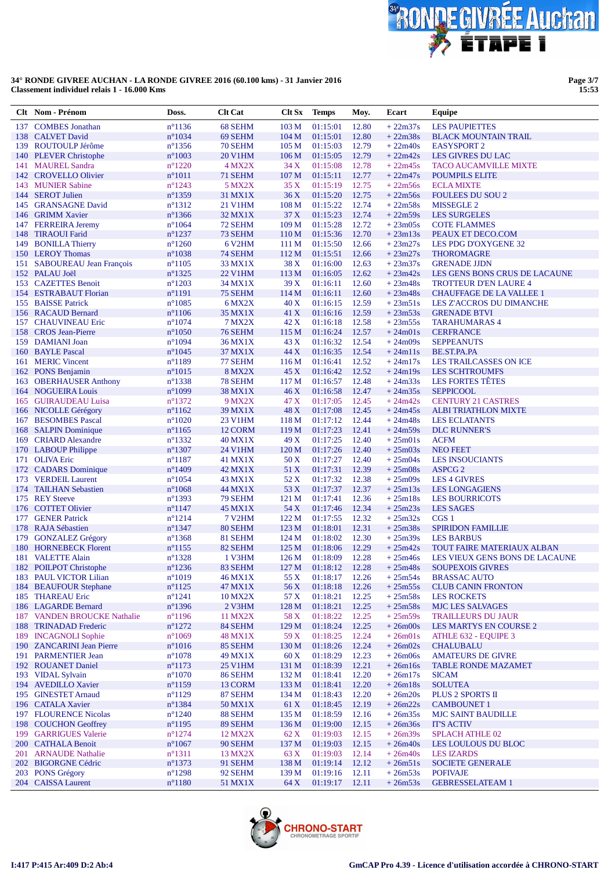

**Page 3/7 15:53**

|     | Clt Nom - Prénom                              | Doss.                               | <b>Clt Cat</b>           | Clt Sx                    | <b>Temps</b>         | Moy.           | Ecart                  | Equipe                                                          |
|-----|-----------------------------------------------|-------------------------------------|--------------------------|---------------------------|----------------------|----------------|------------------------|-----------------------------------------------------------------|
| 137 | <b>COMBES</b> Jonathan                        | $n^{\circ}1136$                     | 68 SEHM                  | 103 <sub>M</sub>          | 01:15:01             | 12.80          | $+22m37s$              | <b>LES PAUPIETTES</b>                                           |
|     | 138 CALVET David                              | $n^{\circ}1034$                     | 69 SEHM                  | 104 <sub>M</sub>          | 01:15:01             | 12.80          | $+22m38s$              | <b>BLACK MOUNTAIN TRAIL</b>                                     |
|     | 139 ROUTOULP Jérôme                           | $n^{\circ}$ 1356                    | 70 SEHM                  | 105 <sub>M</sub>          | 01:15:03             | 12.79          | $+22m40s$              | <b>EASYSPORT 2</b>                                              |
|     | 140 PLEVER Christophe                         | $n^{\circ}1003$                     | 20 V1HM                  | 106 <sub>M</sub>          | 01:15:05             | 12.79          | $+22m42s$              | LES GIVRES DU LAC                                               |
| 141 | <b>MAUREL Sandra</b>                          | $n^{\circ}1220$                     | 4 MX2X                   | 34 X                      | 01:15:08             | 12.78          | $+22m45s$              | <b>TACO AUCAMVILLE MIXTE</b>                                    |
|     | 142 CROVELLO Olivier<br>143 MUNIER Sabine     | $n^{\circ}1011$<br>$n^{\circ}1243$  | 71 SEHM<br>5 MX2X        | 107 M<br>35 X             | 01:15:11<br>01:15:19 | 12.77<br>12.75 | $+22m47s$<br>$+22m56s$ | <b>POUMPILS ELITE</b><br><b>ECLA MIXTE</b>                      |
|     | 144 SEROT Julien                              | $n^{\circ}$ 1359                    | 31 MX1X                  | 36X                       | 01:15:20             | 12.75          | $+22m56s$              | <b>FOULEES DU SOU 2</b>                                         |
|     | 145 GRANSAGNE David                           | $n^{\circ}1312$                     | 21 V1HM                  | 108 <sub>M</sub>          | 01:15:22             | 12.74          | $+22m58s$              | <b>MISSEGLE 2</b>                                               |
|     | 146 GRIMM Xavier                              | $n^{\circ}$ 1366                    | 32 MX1X                  | 37X                       | 01:15:23             | 12.74          | $+22m59s$              | <b>LES SURGELES</b>                                             |
|     | 147 FERREIRA Jeremy                           | $n^{\circ}1064$                     | 72 SEHM                  | 109 <sub>M</sub>          | 01:15:28             | 12.72          | $+23m05s$              | <b>COTE FLAMMES</b>                                             |
| 148 | <b>TIRAOUI Farid</b>                          | $n^{\circ}1237$                     | 73 SEHM                  | 110 <sub>M</sub>          | 01:15:36             | 12.70          | $+23m13s$              | PEAUX ET DECO.COM                                               |
|     | 149 BONILLA Thierry                           | $n^{\circ}1260$                     | 6 V <sub>2</sub> HM      | 111 M                     | 01:15:50             | 12.66          | $+23m27s$              | LES PDG D'OXYGENE 32                                            |
|     | 150 LEROY Thomas                              | $n^{\circ}1038$                     | 74 SEHM                  | 112M                      | 01:15:51             | 12.66          | $+23m27s$              | <b>THOROMAGRE</b>                                               |
|     | 151 SABOUREAU Jean François                   | $n^{\circ}1105$                     | 33 MX1X                  | 38 X                      | 01:16:00             | 12.63          | $+23m37s$              | <b>GRENADE JJDN</b>                                             |
|     | 152 PALAU Joël                                | $n^{\circ}$ 1325                    | 22 V1HM                  | 113 <sub>M</sub>          | 01:16:05             | 12.62          | $+23m42s$              | LES GENS BONS CRUS DE LACAUNE                                   |
|     | 153 CAZETTES Benoit<br>154 ESTRABAUT Florian  | $n^{\circ}1203$<br>$n^{\circ}1191$  | 34 MX1X<br>75 SEHM       | 39X<br>114 M              | 01:16:11<br>01:16:11 | 12.60<br>12.60 | $+23m48s$<br>$+23m48s$ | <b>TROTTEUR D'EN LAURE 4</b><br><b>CHAUFFAGE DE LA VALLEE 1</b> |
|     | 155 BAISSE Patrick                            | $n^{\circ}1085$                     | 6 MX2X                   | 40 X                      | 01:16:15             | 12.59          | $+23m51s$              | LES Z'ACCROS DU DIMANCHE                                        |
|     | 156 RACAUD Bernard                            | $n^{\circ}1106$                     | 35 MX1X                  | 41 X                      | 01:16:16             | 12.59          | $+23m53s$              | <b>GRENADE BTVI</b>                                             |
|     | 157 CHAUVINEAU Eric                           | $n^{\circ}1074$                     | 7 MX2X                   | 42 X                      | 01:16:18             | 12.58          | $+23m55s$              | <b>TARAHUMARAS 4</b>                                            |
|     | 158 CROS Jean-Pierre                          | $n^{\circ}1050$                     | 76 SEHM                  | 115 M                     | 01:16:24             | 12.57          | $+24m01s$              | <b>CERFRANCE</b>                                                |
|     | 159 DAMIANI Joan                              | $n^{\circ}1094$                     | 36 MX1X                  | 43 X                      | 01:16:32             | 12.54          | $+24m09s$              | <b>SEPPEANUTS</b>                                               |
|     | 160 BAYLE Pascal                              | $n^{\circ}1045$                     | 37 MX1X                  | 44 X                      | 01:16:35             | 12.54          | $+24m11s$              | BE.ST.PA.PA                                                     |
|     | 161 MERIC Vincent                             | $n^{\circ}1189$                     | 77 SEHM                  | 116M                      | 01:16:41             | 12.52          | $+24m17s$              | <b>LES TRAILCASSES ON ICE</b>                                   |
|     | 162 PONS Benjamin                             | $n^{\circ}1015$                     | <b>8 MX2X</b>            | 45 X                      | 01:16:42             | 12.52          | $+24m19s$              | <b>LES SCHTROUMFS</b>                                           |
|     | 163 OBERHAUSER Anthony                        | $n^{\circ}$ 1338                    | 78 SEHM                  | 117 <sub>M</sub>          | 01:16:57             | 12.48          | $+24m33s$              | LES FORTES TÊTES                                                |
|     | 164 NOGUEIRA Louis                            | $n^{\circ}1099$                     | 38 MX1X                  | 46X                       | 01:16:58             | 12.47          | $+24m35s$              | <b>SEPPICOOL</b>                                                |
|     | 165 GUIRAUDEAU Luisa                          | $n^{\circ}$ 1372                    | 9 MX2X                   | 47 X                      | 01:17:05             | 12.45          | $+24m42s$              | <b>CENTURY 21 CASTRES</b>                                       |
|     | 166 NICOLLE Gérégory<br>167 BESOMBES Pascal   | $n^{\circ}1162$                     | 39 MX1X                  | 48 X                      | 01:17:08             | 12.45<br>12.44 | $+24m45s$              | <b>ALBI TRIATHLON MIXTE</b>                                     |
|     | 168 SALPIN Dominique                          | $n^{\circ}1020$<br>$n^{\circ}1165$  | 23 V1HM<br>12 CORM       | 118 M<br>119 <sub>M</sub> | 01:17:12<br>01:17:23 | 12.41          | $+24m48s$<br>$+24m59s$ | <b>LES ECLATANTS</b><br><b>DLC RUNNER'S</b>                     |
|     | 169 CRIARD Alexandre                          | $n^{\circ}$ 1332                    | <b>40 MX1X</b>           | 49 X                      | 01:17:25             | 12.40          | $+25m01s$              | <b>ACFM</b>                                                     |
|     | 170 LABOUP Philippe                           | $n^{\circ}1307$                     | 24 V1HM                  | 120 M                     | 01:17:26             | 12.40          | $+25m03s$              | <b>NEO FEET</b>                                                 |
|     | 171 OLIVA Eric                                | $n^{\circ}1187$                     | 41 MX1X                  | 50 X                      | 01:17:27             | 12.40          | $+25m04s$              | <b>LES INSOUCIANTS</b>                                          |
|     | 172 CADARS Dominique                          | $n^{\circ}$ 1409                    | 42 MX1X                  | 51 X                      | 01:17:31             | 12.39          | $+25m08s$              | ASPCG <sub>2</sub>                                              |
|     | 173 VERDEIL Laurent                           | $n^{\circ}1054$                     | 43 MX1X                  | 52 X                      | 01:17:32             | 12.38          | $+25m09s$              | <b>LES 4 GIVRES</b>                                             |
|     | 174 TAILHAN Sebastien                         | $n^{\circ}1068$                     | 44 MX1X                  | 53 X                      | 01:17:37             | 12.37          | $+25m13s$              | <b>LES LONGAGIENS</b>                                           |
|     | 175 REY Steeve                                | $n^{\circ}1393$                     | 79 SEHM                  | 121 M                     | 01:17:41             | 12.36          | $+25m18s$              | <b>LES BOURRICOTS</b>                                           |
|     | 176 COTTET Olivier                            | $n^{\circ}1147$                     | <b>45 MX1X</b>           | 54 X                      | 01:17:46             | 12.34          | $+25m23s$              | <b>LES SAGES</b>                                                |
| 177 | <b>GENER Patrick</b><br>178 RAJA Sébastien    | $n^{\circ}1214$<br>$n^{\circ}$ 1347 | <b>7 V2HM</b><br>80 SEHM | 122M<br>123 <sub>M</sub>  | 01:17:55<br>01:18:01 | 12.32<br>12.31 | $+25m32s$<br>$+25m38s$ | CGS <sub>1</sub><br><b>SPIRIDON FAMILLIE</b>                    |
|     | 179 GONZALEZ Grégory                          | $n^{\circ}$ 1368                    | 81 SEHM                  | 124M                      | 01:18:02             | 12.30          | $+25m39s$              | <b>LES BARBUS</b>                                               |
|     | 180 HORNEBECK Florent                         | $n^{\circ}1155$                     | 82 SEHM                  | 125 <sub>M</sub>          | 01:18:06             | 12.29          | $+25m42s$              | TOUT FAIRE MATERIAUX ALBAN                                      |
|     | 181 VALETTE Alain                             | $n^{\circ}$ 1328                    | 1 V3HM                   | 126 <sub>M</sub>          | 01:18:09             | 12.28          | $+25m46s$              | LES VIEUX GENS BONS DE LACAUNE                                  |
|     | 182 POILPOT Christophe                        | $n^{\circ}$ 1236                    | 83 SEHM                  |                           | 127 M 01:18:12 12.28 |                | $+25m48s$              | <b>SOUPEXOIS GIVRES</b>                                         |
|     | 183 PAUL VICTOR Lilian                        | $n^{\circ}1019$                     | 46 MX1X                  | 55 X                      | 01:18:17 12.26       |                | $+25m54s$              | <b>BRASSAC AUTO</b>                                             |
|     | 184 BEAUFOUR Stephane                         | $n^{\circ}1125$                     | 47 MX1X                  | 56 X                      | 01:18:18             | 12.26          | $+25m55s$              | <b>CLUB CANIN FRONTON</b>                                       |
|     | 185 THAREAU Eric                              | $n^{\circ}1241$                     | <b>10 MX2X</b>           | 57 X                      | 01:18:21             | 12.25          | $+25m58s$              | <b>LES ROCKETS</b>                                              |
|     | 186 LAGARDE Bernard                           | $n^{\circ}$ 1396                    | 2 V3HM                   | 128 M                     | 01:18:21             | 12.25          | $+25m58s$              | MJC LES SALVAGES                                                |
|     | 187 VANDEN BROUCKE Nathalie                   | $n^{\circ}1196$                     | 11 MX2X                  | 58 X                      | 01:18:22             | 12.25          | $+25m59s$              | <b>TRAILLEURS DU JAUR</b>                                       |
|     | 188 TRINADAD Frederic<br>189 INCAGNOLI Sophie | $n^{\circ}1272$<br>$n^{\circ}1069$  | 84 SEHM<br>48 MX1X       | 129 M<br>59 X             | 01:18:24<br>01:18:25 | 12.25<br>12.24 | $+26m00s$<br>$+26m01s$ | LES MARTYS EN COURSE 2<br>ATHLE 632 - EQUIPE 3                  |
|     | 190 ZANCARINI Jean Pierre                     | $n^{\circ}1016$                     | 85 SEHM                  | 130 M                     | 01:18:26             | 12.24          | $+26m02s$              | <b>CHALUBALU</b>                                                |
|     | 191 PARMENTIER Jean                           | $n^{\circ}1078$                     | 49 MX1X                  | 60 X                      | 01:18:29             | 12.23          | $+26m06s$              | <b>AMATEURS DE GIVRE</b>                                        |
|     | 192 ROUANET Daniel                            | $n^{\circ}1173$                     | <b>25 V1HM</b>           | 131 M                     | 01:18:39             | 12.21          | $+26m16s$              | <b>TABLE RONDE MAZAMET</b>                                      |
|     | 193 VIDAL Sylvain                             | $n^{\circ}1070$                     | 86 SEHM                  | 132 M                     | 01:18:41             | 12.20          | $+26m17s$              | <b>SICAM</b>                                                    |
|     | 194 AVEDILLO Xavier                           | $n^{\circ}$ 1159                    | 13 CORM                  | 133 M                     | 01:18:41             | 12.20          | $+26m18s$              | <b>SOLUTEA</b>                                                  |
|     | 195 GINESTET Arnaud                           | $n^{\circ}1129$                     | 87 SEHM                  | 134 M                     | 01:18:43             | 12.20          | $+26m20s$              | PLUS 2 SPORTS II                                                |
|     | 196 CATALA Xavier                             | $n^{\circ}$ 1384                    | 50 MX1X                  | 61 X                      | 01:18:45             | 12.19          | $+26m22s$              | <b>CAMBOUNET 1</b>                                              |
|     | 197 FLOURENCE Nicolas                         | $n^{\circ}1240$                     | 88 SEHM                  | 135 M                     | 01:18:59             | 12.16          | $+26m35s$              | <b>MJC SAINT BAUDILLE</b>                                       |
|     | 198 COUCHON Geoffrey                          | $n^{\circ}1195$                     | 89 SEHM                  | 136 M                     | 01:19:00             | 12.15          | $+26m36s$              | <b>IT'S ACTIV</b>                                               |
|     | 199 GARRIGUES Valerie                         | $n^{\circ}1274$                     | 12 MX2X                  | 62 X                      | 01:19:03             | 12.15          | $+26m39s$              | <b>SPLACH ATHLE 02</b>                                          |
|     | 200 CATHALA Benoit<br>201 ARNAUDE Nathalie    | $n^{\circ}1067$<br>$n^{\circ}1311$  | 90 SEHM<br>13 MX2X       | 137 M<br>63 X             | 01:19:03<br>01:19:03 | 12.15<br>12.14 | $+26m40s$<br>$+26m40s$ | LES LOULOUS DU BLOC<br><b>LES IZARDS</b>                        |
|     | 202 BIGORGNE Cédric                           | $n^{\circ}$ 1373                    | 91 SEHM                  | 138 M                     | 01:19:14             | 12.12          | $+26m51s$              | <b>SOCIETE GENERALE</b>                                         |
|     | 203 PONS Grégory                              | $n^{\circ}1298$                     | 92 SEHM                  | 139 <sub>M</sub>          | 01:19:16             | 12.11          | $+26m53s$              | <b>POFIVAJE</b>                                                 |
|     | 204 CAISSA Laurent                            | $n^{\circ}1180$                     | 51 MX1X                  | 64 X                      | 01:19:17             | 12.11          | $+26m53s$              | <b>GEBRESSELATEAM 1</b>                                         |
|     |                                               |                                     |                          |                           |                      |                |                        |                                                                 |

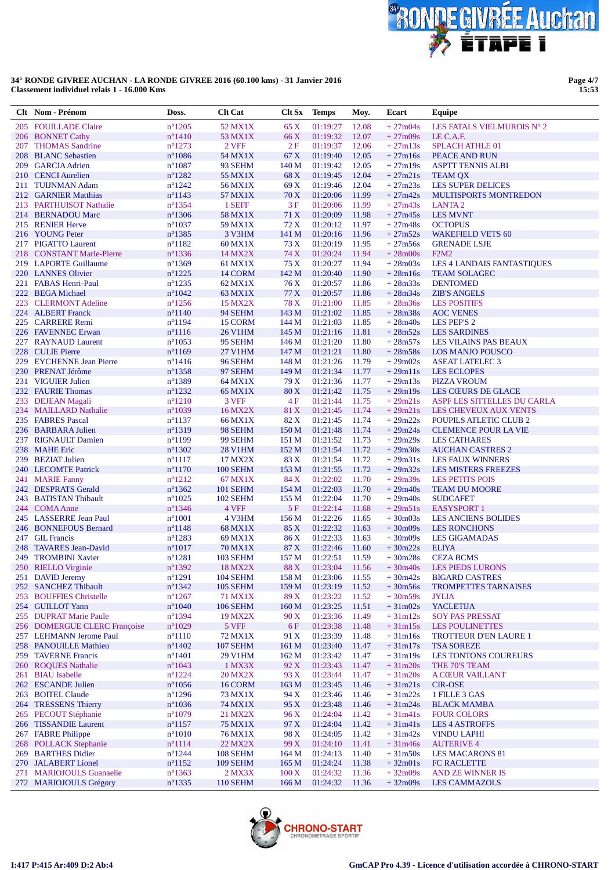

Page 4/7<br>15:53

|     | Clt Nom - Prénom                           | Doss.                                | <b>Clt Cat</b>             | Clt Sx            | <b>Temps</b>                    | Moy.           | Ecart                  | Equipe                                                   |
|-----|--------------------------------------------|--------------------------------------|----------------------------|-------------------|---------------------------------|----------------|------------------------|----------------------------------------------------------|
|     | 205 FOUILLADE Claire                       | $n^{\circ}$ 1205                     | 52 MX1X                    | 65 X              | 01:19:27                        | 12.08          | $+27m04s$              | LES FATALS VIELMUROIS N° 2                               |
|     | 206 BONNET Cathy                           | $n^{\circ}$ 1410                     | 53 MX1X                    | 66 X              | 01:19:32                        | 12.07          | $+27m09s$              | LE C.A.F.                                                |
|     | 207 THOMAS Sandrine                        | $n^{\circ}1273$                      | 2 VFF                      | 2F                | 01:19:37                        | 12.06          | $+27m13s$              | <b>SPLACH ATHLE 01</b>                                   |
|     | 208 BLANC Sebastien                        | $n^{\circ}1086$                      | 54 MX1X                    | 67 X              | 01:19:40                        | 12.05          | $+27m16s$              | PEACE AND RUN                                            |
|     | 209 GARCIA Adrien                          | $n^{\circ}1087$                      | 93 SEHM                    | 140 M             | 01:19:42                        | 12.05          | $+27m19s$              | <b>ASPTT TENNIS ALBI</b>                                 |
|     | 210 CENCI Aurelien                         | $n^{\circ}$ 1282                     | 55 MX1X                    | 68 X              | 01:19:45                        | 12.04          | $+27m21s$              | <b>TEAM OX</b>                                           |
|     | 211 TUIJNMAN Adam<br>212 GARNIER Matthias  | $n^{\circ}$ 1242<br>$n^{\circ}$ 1143 | 56 MX1X<br>57 MX1X         | 69 X<br>70 X      | 01:19:46<br>01:20:06            | 12.04<br>11.99 | $+27m23s$<br>$+27m42s$ | <b>LES SUPER DELICES</b><br><b>MULTISPORTS MONTREDON</b> |
|     | 213 PARTHUISOT Nathalie                    | $n^{\circ}$ 1354                     | 1 SEFF                     | 3F                | 01:20:06                        | 11.99          | $+27m43s$              | LANTA <sub>2</sub>                                       |
|     | 214 BERNADOU Marc                          | $n^{\circ}$ 1306                     | 58 MX1X                    | 71 X              | 01:20:09                        | 11.98          | $+27m45s$              | <b>LES MVNT</b>                                          |
|     | 215 RENIER Herve                           | $n^{\circ}1037$                      | 59 MX1X                    | 72 X              | 01:20:12                        | 11.97          | $+27m48s$              | <b>OCTOPUS</b>                                           |
|     | 216 YOUNG Peter                            | $n^{\circ}$ 1385                     | 3 V3HM                     | 141 M             | 01:20:16                        | 11.96          | $+27m52s$              | <b>WAKEFIELD VETS 60</b>                                 |
|     | 217 PIGATTO Laurent                        | $n^{\circ}1182$                      | 60 MX1X                    | 73 X              | 01:20:19                        | 11.95          | $+27m56s$              | <b>GRENADE LSJE</b>                                      |
|     | 218 CONSTANT Marie-Pierre                  | $n^{\circ}$ 1336                     | 14 MX2X                    | 74 X              | 01:20:24                        | 11.94          | $+28m00s$              | F2M2                                                     |
|     | 219 LAPORTE Guillaume                      | $n^{\circ}$ 1369                     | 61 MX1X                    | 75 X              | 01:20:27                        | 11.94          | $+28m03s$              | <b>LES 4 LANDAIS FANTASTIQUES</b>                        |
|     | 220 LANNES Olivier                         | $n^{\circ}$ 1225                     | 14 CORM                    | 142 M             | 01:20:40                        | 11.90          | $+28m16s$              | <b>TEAM SOLAGEC</b>                                      |
|     | 221 FABAS Henri-Paul                       | $n^{\circ}$ 1235                     | 62 MX1X                    | 76 X              | 01:20:57                        | 11.86          | $+28m33s$              | <b>DENTOMED</b>                                          |
|     | 222 BEGA Michael                           | $n^{\circ}1042$                      | 63 MX1X                    | 77 X              | 01:20:57                        | 11.86          | $+28m34s$              | <b>ZIB'S ANGELS</b>                                      |
|     | 223 CLERMONT Adeline                       | $n^{\circ}$ 1256                     | 15 MX2X                    | 78 X              | 01:21:00                        | 11.85          | $+28m36s$              | <b>LES POSITIFS</b>                                      |
|     | 224 ALBERT Franck<br>225 CARRERE Remi      | $n^{\circ}1140$<br>$n^{\circ}$ 1194  | 94 SEHM<br>15 CORM         | 143 M<br>144 M    | 01:21:02<br>01:21:03            | 11.85<br>11.85 | $+28m38s$<br>$+28m40s$ | <b>AOC VENES</b><br>LES PEP'S 2                          |
|     | 226 FAVENNEC Erwan                         | $n^{\circ}1116$                      | <b>26 V1HM</b>             | 145 M             | 01:21:16                        | 11.81          | $+28m52s$              | <b>LES SARDINES</b>                                      |
|     | 227 RAYNAUD Laurent                        | $n^{\circ}1053$                      | 95 SEHM                    | 146 M             | 01:21:20                        | 11.80          | $+28m57s$              | LES VILAINS PAS BEAUX                                    |
|     | 228 CULIE Pierre                           | $n^{\circ}1169$                      | 27 V1HM                    | 147 M             | 01:21:21                        | 11.80          | $+28m58s$              | <b>LOS MANJO POUSCO</b>                                  |
|     | 229 EYCHENNE Jean Pierre                   | $n^{\circ}$ 1416                     | 96 SEHM                    | 148 M             | 01:21:26                        | 11.79          | $+29m02s$              | <b>ASEAT LATELEC 3</b>                                   |
|     | 230 PRENAT Jérôme                          | $n^{\circ}$ 1358                     | 97 SEHM                    | 149 M             | 01:21:34                        | 11.77          | $+29m11s$              | <b>LES ECLOPES</b>                                       |
|     | 231 VIGUIER Julien                         | $n^{\circ}$ 1389                     | 64 MX1X                    | 79 X              | 01:21:36                        | 11.77          | $+29m13s$              | <b>PIZZA VROUM</b>                                       |
|     | 232 FAURIE Thomas                          | $n^{\circ}$ 1232                     | 65 MX1X                    | 80X               | 01:21:42                        | 11.75          | $+29m19s$              | <b>LES CŒURS DE GLACE</b>                                |
|     | 233 DEJEAN Magali                          | $n^{\circ}1210$                      | 3 VFF                      | 4F                | 01:21:44                        | 11.75          | $+29m21s$              | ASPF LES SITTELLES DU CARLA                              |
|     | 234 MAILLARD Nathalie                      | $n^{\circ}1039$                      | 16 MX2X                    | 81 X              | 01:21:45                        | 11.74          | $+29m21s$              | LES CHEVEUX AUX VENTS                                    |
|     | 235 FABRES Pascal                          | $n^{\circ}1137$                      | 66 MX1X                    | 82 X              | 01:21:45                        | 11.74          | $+29m22s$              | POUPILS ATLETIC CLUB 2                                   |
|     | 236 BARBARA Julien                         | $n^{\circ}1319$                      | 98 SEHM                    | 150 M             | 01:21:48                        | 11.74          | $+29m24s$              | <b>CLEMENCE POUR LA VIE</b>                              |
|     | 237 RIGNAULT Damien                        | $n^{\circ}1199$                      | 99 SEHM                    | 151 M             | 01:21:52                        | 11.73          | $+29m29s$              | <b>LES CATHARES</b>                                      |
|     | 238 MAHE Eric<br>239 BEZIAT Julien         | $n^{\circ}$ 1302<br>$n^{\circ}1117$  | <b>28 V1HM</b><br>17 MX2X  | 152 M<br>83 X     | 01:21:54<br>01:21:54            | 11.72<br>11.72 | $+29m30s$<br>$+29m31s$ | <b>AUCHAN CASTRES 2</b><br><b>LES FAUX WINNERS</b>       |
|     | 240 LECOMTE Patrick                        | $n^{\circ}1170$                      | 100 SEHM                   | 153 M             | 01:21:55                        | 11.72          | $+29m32s$              | <b>LES MISTERS FREEZES</b>                               |
|     | 241 MARIE Fanny                            | $n^{\circ}1212$                      | 67 MX1X                    | 84 X              | 01:22:02                        | 11.70          | $+29m39s$              | <b>LES PETITS POIS</b>                                   |
|     | 242 DESPRATS Gerald                        | $n^{\circ}$ 1362                     | <b>101 SEHM</b>            | 154M              | 01:22:03                        | 11.70          | $+29m40s$              | <b>TEAM DU MOORE</b>                                     |
|     | 243 BATISTAN Thibault                      | $n^{\circ}1025$                      | <b>102 SEHM</b>            | 155 M             | 01:22:04                        | 11.70          | $+29m40s$              | <b>SUDCAFET</b>                                          |
|     | 244 COMA Anne                              | $n^{\circ}$ 1346                     | 4 VFF                      | 5F                | 01:22:14                        | 11.68          | $+29m51s$              | <b>EASYSPORT 1</b>                                       |
|     | 245 LASSERRE Jean Paul                     | $n^{\circ}1001$                      | 4 V3HM                     | 156 M             | 01:22:26                        | 11.65          | $+30m03s$              | <b>LES ANCIENS BOLIDES</b>                               |
|     | 246 BONNEFOUS Bernard                      | $n^{\circ}$ 1148                     | 68 MX1X                    | 85 X              | 01:22:32                        | 11.63          | $+30m09s$              | <b>LES RONCHONS</b>                                      |
|     | 247 GIL Francis                            | $n^{\circ}$ 1283                     | 69 MX1X                    | 86 X              | 01:22:33                        | 11.63          | $+30m09s$              | LES GIGAMADAS                                            |
|     | 248 TAVARES Jean-David                     | $n^{\circ}1017$                      | 70 MX1X                    | 87 X              | 01:22:46                        | 11.60          | $+30m22s$              | <b>ELIYA</b>                                             |
|     | 249 TROMBINI Xavier<br>250 RIELLO Virginie | $n^{\circ}1281$<br>$n^{\circ}$ 1392  | <b>103 SEHM</b><br>18 MX2X | 157 M             | 01:22:51<br>88 X 01:23:04 11.56 | 11.59          | $+30m28s$              | <b>CEZA BCMS</b><br>+30m40s LES PIEDS LURONS             |
|     | 251 DAVID Jeremy                           | $n^{\circ}1291$                      | <b>104 SEHM</b>            | 158 M             | 01:23:06                        | 11.55          | $+30m42s$              | <b>BIGARD CASTRES</b>                                    |
|     | 252 SANCHEZ Thibault                       | $n^{\circ}1342$                      | <b>105 SEHM</b>            | 159 M             | 01:23:19                        | 11.52          | $+30m56s$              | <b>TROMPETTES TARNAISES</b>                              |
|     | 253 BOUFFIES Christelle                    | $n^{\circ}$ 1267                     | 71 MX1X                    | 89 X              | 01:23:22                        | 11.52          | $+30m59s$              | <b>JYLIA</b>                                             |
|     | 254 GUILLOT Yann                           | $n^{\circ}1040$                      | <b>106 SEHM</b>            | 160 M             | 01:23:25                        | 11.51          | $+31m02s$              | <b>YACLETIJA</b>                                         |
|     | 255 DUPRAT Marie Paule                     | $n^{\circ}$ 1394                     | 19 MX2X                    | 90 X              | 01:23:36                        | 11.49          | $+31m12s$              | <b>SOY PAS PRESSAT</b>                                   |
|     | 256 DOMERGUE CLERC Françoise               | $n^{\circ}1029$                      | 5 VFF                      | 6 F               | 01:23:38                        | 11.48          | $+31m15s$              | <b>LES POULINETTES</b>                                   |
|     | 257 LEHMANN Jerome Paul                    | $n^{\circ}1110$                      | 72 MX1X                    | 91 X              | 01:23:39                        | 11.48          | $+31m16s$              | <b>TROTTEUR D'EN LAURE 1</b>                             |
|     | 258 PANOUILLE Mathieu                      | $n^{\circ}$ 1402                     | <b>107 SEHM</b>            | 161 M             | 01:23:40                        | 11.47          | $+31m17s$              | <b>TSA SOREZE</b>                                        |
|     | 259 TAVERNE Francis                        | $n^{\circ}1401$                      | 29 V1HM                    | 162 M             | 01:23:42                        | 11.47          | $+31m19s$              | <b>LES TONTONS COUREURS</b>                              |
|     | 260 ROQUES Nathalie                        | $n^{\circ}1043$                      | 1 MX3X                     | 92 X              | 01:23:43                        | 11.47          | $+31m20s$              | THE 70'S TEAM                                            |
| 261 | <b>BIAU</b> Isabelle<br>262 ESCANDE Julien | $n^{\circ}$ 1224                     | <b>20 MX2X</b>             | 93 X              | 01:23:44<br>01:23:45            | 11.47          | $+31m20s$              | A CŒUR VAILLANT                                          |
|     | 263 BOITEL Claude                          | $n^{\circ}1056$<br>$n^{\circ}$ 1296  | 16 CORM<br>73 MX1X         | 163 M<br>94 X     | 01:23:46                        | 11.46<br>11.46 | $+31m21s$<br>$+31m22s$ | <b>CIR-OSE</b><br>1 FILLE 3 GAS                          |
|     | 264 TRESSENS Thierry                       | $n^{\circ}1036$                      | 74 MX1X                    | 95 X              | 01:23:48                        | 11.46          | $+31m24s$              | <b>BLACK MAMBA</b>                                       |
|     | 265 PECOUT Stéphanie                       | $n^{\circ}1079$                      | 21 MX2X                    | 96 X              | 01:24:04                        | 11.42          | $+31m41s$              | <b>FOUR COLORS</b>                                       |
|     | 266 TISSANDIE Laurent                      | $n^{\circ}$ 1157                     | <b>75 MX1X</b>             | 97 X              | 01:24:04                        | 11.42          | $+31m41s$              | <b>LES 4 ASTROFFS</b>                                    |
|     | 267 FABRE Philippe                         | $n^{\circ}1010$                      | 76 MX1X                    | 98 X              | 01:24:05                        | 11.42          | $+31m42s$              | <b>VINDU LAPHI</b>                                       |
|     | 268 POLLACK Stephanie                      | $n^{\circ}1114$                      | 22 MX2X                    | 99 X              | 01:24:10                        | 11.41          | $+31m46s$              | <b>AUTERIVE 4</b>                                        |
|     | 269 BARTHES Didier                         | $n^{\circ}$ 1244                     | 108 SEHM                   | 164 M             | 01:24:13                        | 11.40          | $+31m50s$              | <b>LES MACARONS 81</b>                                   |
|     | 270 JALABERT Lionel                        | $n^{\circ}1152$                      | <b>109 SEHM</b>            | 165 M             | 01:24:24                        | 11.38          | $+32m01s$              | <b>FC RACLETTE</b>                                       |
| 271 | <b>MARIOJOULS Guanaelle</b>                | $n^{\circ}$ 1363                     | $2$ MX $3X$                | $100\,\mathrm{X}$ | 01:24:32                        | 11.36          | $+32m09s$              | AND ZE WINNER IS                                         |
|     | 272 MARIOJOULS Grégory                     | $n^{\circ}$ 1335                     | 110 SEHM                   | 166 <sub>M</sub>  | 01:24:32                        | 11.36          | $+32m09s$              | <b>LES CAMMAZOLS</b>                                     |

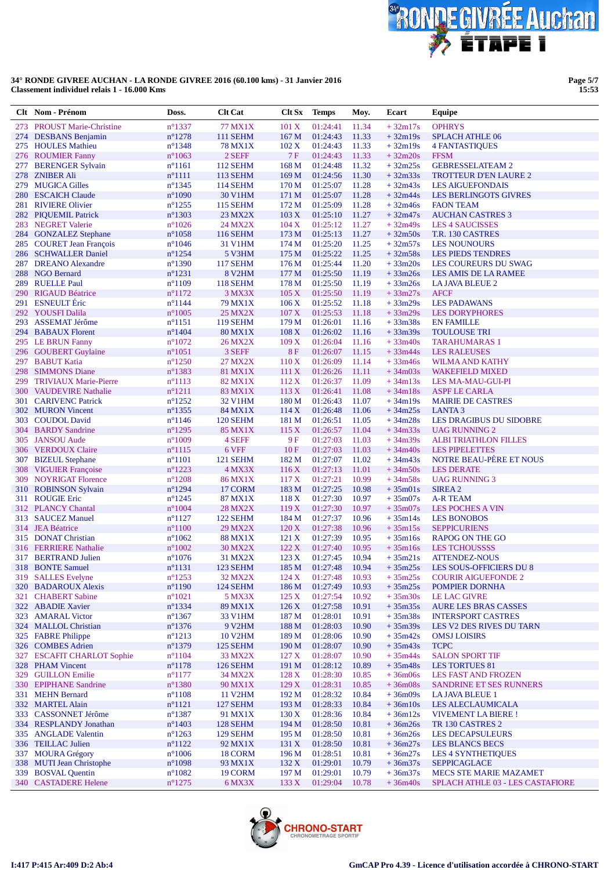

**Page 5/7 15:53**

|     | Clt Nom - Prénom                            | Doss.                                | <b>Clt Cat</b>             | Clt Sx           | <b>Temps</b>                     | Moy.           | Ecart                  | Equipe                                                        |
|-----|---------------------------------------------|--------------------------------------|----------------------------|------------------|----------------------------------|----------------|------------------------|---------------------------------------------------------------|
| 273 | <b>PROUST Marie-Christine</b>               | $n^{\circ}$ 1337                     | 77 MX1X                    | 101 X            | 01:24:41                         | 11.34          | $+32m17s$              | <b>OPHRYS</b>                                                 |
|     | 274 DESBANS Benjamin                        | $n^{\circ}$ 1278                     | <b>111 SEHM</b>            | 167 M            | 01:24:43                         | 11.33          | $+32m19s$              | <b>SPLACH ATHLE 06</b>                                        |
|     | 275 HOULES Mathieu                          | $n^{\circ}$ 1348                     | 78 MX1X                    | 102 X            | 01:24:43                         | 11.33          | $+32m19s$              | <b>4 FANTASTIQUES</b>                                         |
|     | 276 ROUMIER Fanny                           | $n^{\circ}1063$                      | 2 SEFF                     | 7 F              | 01:24:43                         | 11.33          | $+32m20s$              | <b>FFSM</b>                                                   |
| 277 | <b>BERENGER Sylvain</b>                     | $n^{\circ}1161$                      | <b>112 SEHM</b>            | 168 <sub>M</sub> | 01:24:48                         | 11.32          | $+32m25s$              | <b>GEBRESSELATEAM 2</b>                                       |
|     | 278 ZNIBER Ali                              | $n^{\circ}1111$                      | <b>113 SEHM</b>            | 169 M            | 01:24:56                         | 11.30          | $+32m33s$              | <b>TROTTEUR D'EN LAURE 2</b>                                  |
|     | 279 MUGICA Gilles                           | $n^{\circ}$ 1345                     | <b>114 SEHM</b>            | 170 <sub>M</sub> | 01:25:07                         | 11.28          | $+32m43s$              | <b>LES AIGUEFONDAIS</b>                                       |
|     | 280 ESCAICH Claude                          | $n^{\circ}1090$                      | <b>30 V1HM</b>             | 171 M            | 01:25:07                         | 11.28          | $+32m44s$              | <b>LES BERLINGOTS GIVRES</b>                                  |
|     | 281 RIVIERE Olivier                         | $n^{\circ}$ 1255                     | <b>115 SEHM</b>            | 172 M            | 01:25:09                         | 11.28          | $+32m46s$              | <b>FAON TEAM</b>                                              |
|     | 282 PIQUEMIL Patrick                        | $n^{\circ}1303$                      | 23 MX2X                    | 103 X            | 01:25:10<br>01:25:12             | 11.27          | $+32m47s$              | <b>AUCHAN CASTRES 3</b>                                       |
|     | 283 NEGRET Valerie<br>284 GONZALEZ Stephane | $n^{\circ}1026$<br>$n^{\circ}1058$   | 24 MX2X<br><b>116 SEHM</b> | 104 X<br>173 M   | 01:25:13                         | 11.27<br>11.27 | $+32m49s$<br>$+32m50s$ | <b>LES 4 SAUCISSES</b><br>T.R. 130 CASTRES                    |
|     | 285 COURET Jean François                    | $n^{\circ}1046$                      | 31 V1HM                    | 174M             | 01:25:20                         | 11.25          | $+32m57s$              | <b>LES NOUNOURS</b>                                           |
|     | 286 SCHWALLER Daniel                        | $n^{\circ}$ 1254                     | 5 V3HM                     | 175 <sub>M</sub> | 01:25:22                         | 11.25          | $+32m58s$              | <b>LES PIEDS TENDRES</b>                                      |
|     | 287 DREANO Alexandre                        | $n^{\circ}$ 1390                     | <b>117 SEHM</b>            | 176M             | 01:25:44                         | 11.20          | $+33m20s$              | LES COUREURS DU SWAG                                          |
|     | 288 NGO Bernard                             | $n^{\circ}$ 1231                     | 8 V <sub>2</sub> HM        | 177 M            | 01:25:50                         | 11.19          | $+33m26s$              | LES AMIS DE LA RAMEE                                          |
|     | 289 RUELLE Paul                             | $n^{\circ}1109$                      | <b>118 SEHM</b>            | 178 M            | 01:25:50                         | 11.19          | $+33m26s$              | LA JAVA BLEUE 2                                               |
|     | 290 RIGAUD Béatrice                         | $n^{\circ}1172$                      | 3 MX3X                     | 105 X            | 01:25:50                         | 11.19          | $+33m27s$              | <b>AFCF</b>                                                   |
|     | 291 ESNEULT Éric                            | $n^{\circ}1144$                      | 79 MX1X                    | 106 X            | 01:25:52                         | 11.18          | $+33m29s$              | <b>LES PADAWANS</b>                                           |
|     | 292 YOUSFI Dalila                           | $n^{\circ}1005$                      | <b>25 MX2X</b>             | 107 X            | 01:25:53                         | 11.18          | $+33m29s$              | <b>LES DORYPHORES</b>                                         |
|     | 293 ASSEMAT Jérôme                          | $n^{\circ}1151$                      | <b>119 SEHM</b>            | 179 <sub>M</sub> | 01:26:01                         | 11.16          | $+33m38s$              | <b>EN FAMILLE</b>                                             |
|     | 294 BABAUX Florent                          | $n^{\circ}$ 1404                     | <b>80 MX1X</b>             | 108X             | 01:26:02                         | 11.16          | $+33m39s$              | <b>TOULOUSE TRI</b>                                           |
|     | 295 LE BRUN Fanny                           | $n^{\circ}1072$                      | 26 MX2X                    | 109X             | 01:26:04                         | 11.16          | $+33m40s$              | <b>TARAHUMARAS 1</b>                                          |
|     | 296 GOUBERT Guylaine                        | $n^{\circ}1051$                      | 3 SEFF                     | <b>8F</b>        | 01:26:07                         | 11.15          | $+33m44s$              | <b>LES RALEUSES</b>                                           |
|     | 297 BABUT Katia                             | $n^{\circ}$ 1250                     | 27 MX2X                    | 110X             | 01:26:09                         | 11.14          | $+33m46s$              | WILMA AND KATHY                                               |
| 298 | <b>SIMMONS Diane</b>                        | $n^{\circ}$ 1383                     | 81 MX1X                    | 111X             | 01:26:26                         | 11.11          | $+34m03s$              | <b>WAKEFIELD MIXED</b>                                        |
| 299 | <b>TRIVIAUX Marie-Pierre</b>                | $n^{\circ}1113$                      | 82 MX1X                    | 112X             | 01:26:37                         | 11.09          | $+34m13s$              | <b>LES MA-MAU-GUI-PI</b>                                      |
|     | 300 VAUDEVIRE Nathalie                      | $n^{\circ}1211$                      | 83 MX1X                    | 113X             | 01:26:41                         | 11.08          | $+34m18s$              | <b>ASPF LE CARLA</b>                                          |
| 301 | <b>CARIVENC Patrick</b>                     | $n^{\circ}$ 1252                     | 32 V1HM                    | 180 <sub>M</sub> | 01:26:43                         | 11.07          | $+34m19s$              | <b>MAIRIE DE CASTRES</b>                                      |
|     | 302 MURON Vincent<br>303 COUDOL David       | $n^{\circ}$ 1355<br>$n^{\circ}$ 1146 | 84 MX1X<br><b>120 SEHM</b> | 114X<br>181 M    | 01:26:48<br>01:26:51             | 11.06<br>11.05 | $+34m25s$<br>$+34m28s$ | <b>LANTA3</b><br>LES DRAGIBUS DU SIDOBRE                      |
|     | 304 BARDY Sandrine                          | $n^{\circ}$ 1295                     | 85 MX1X                    | 115X             | 01:26:57                         | 11.04          | $+34m33s$              | <b>UAG RUNNING 2</b>                                          |
|     | 305 JANSOU Aude                             | $n^{\circ}1009$                      | 4 SEFF                     | 9 F              | 01:27:03                         | 11.03          | $+34m39s$              | <b>ALBI TRIATHLON FILLES</b>                                  |
|     | 306 VERDOUX Claire                          | $n^{\circ}1115$                      | 6 VFF                      | 10F              | 01:27:03                         | 11.03          | $+34m40s$              | <b>LES PIPELETTES</b>                                         |
|     | 307 BIZEUL Stephane                         | $n^{\circ}1101$                      | 121 SEHM                   | 182 M            | 01:27:07                         | 11.02          | $+34m43s$              | NOTRE BEAU-PÈRE ET NOUS                                       |
|     | 308 VIGUIER Françoise                       | $n^{\circ}1223$                      | 4 MX3X                     | 116X             | 01:27:13                         | 11.01          | $+34m50s$              | <b>LES DERATE</b>                                             |
|     | 309 NOYRIGAT Florence                       | $n^{\circ}1208$                      | <b>86 MX1X</b>             | 117X             | 01:27:21                         | 10.99          | $+34m58s$              | <b>UAG RUNNING 3</b>                                          |
|     | 310 ROBINSON Sylvain                        | $n^{\circ}$ 1294                     | 17 CORM                    | 183 M            | 01:27:25                         | 10.98          | $+35m01s$              | SIREA <sub>2</sub>                                            |
|     | 311 ROUGIE Eric                             | $n^{\circ}$ 1245                     | 87 MX1X                    | 118X             | 01:27:30                         | 10.97          | $+35m07s$              | <b>A-R TEAM</b>                                               |
|     | 312 PLANCY Chantal                          | $n^{\circ}1004$                      | <b>28 MX2X</b>             | 119X             | 01:27:30                         | 10.97          | $+35m07s$              | LES POCHES A VIN                                              |
|     | 313 SAUCEZ Manuel                           | $n^{\circ}1127$                      | 122 SEHM                   | 184 M            | 01:27:37                         | 10.96          | $+35m14s$              | <b>LES BONOBOS</b>                                            |
|     | 314 JEA Béatrice                            | $n^{\circ}1100$                      | 29 MX2X                    | 120X             | 01:27:38                         | 10.96          | $+35m15s$              | <b>SEPPICURIENS</b>                                           |
|     | 315 DONAT Christian                         | $n^{\circ}1062$                      | <b>88 MX1X</b>             | 121 X            | 01:27:39                         | 10.95          | $+35m16s$              | <b>RAPOG ON THE GO</b>                                        |
|     | 316 FERRIERE Nathalie                       | $n^{\circ}1002$                      | <b>30 MX2X</b>             | 122 X            | 01:27:40                         | 10.95          | $+35m16s$              | <b>LES TCHOUSSSS</b>                                          |
|     | 317 BERTRAND Julien                         | $n^{\circ}1076$                      | 31 MX2X                    | 123X             | 01:27:45                         | 10.94          | $+35m21s$              | <b>ATTENDEZ-NOUS</b>                                          |
|     | 318 BONTE Samuel<br>319 SALLES Evelyne      | $n^{\circ}1131$<br>$n^{\circ}$ 1253  | <b>123 SEHM</b><br>32 MX2X | 124X             | 185 M 01:27:48 10.94<br>01:27:48 | 10.93          | $+35m25s$              | +35m25s LES SOUS-OFFICIERS DU 8<br><b>COURIR AIGUEFONDE 2</b> |
|     | 320 BADAROUX Alexis                         | $n^{\circ}1190$                      | 124 SEHM                   | 186 M            | 01:27:49                         | 10.93          | $+35m25s$              | POMPIER DORNHA                                                |
|     | 321 CHABERT Sabine                          | $n^{\circ}1021$                      | 5 MX3X                     | 125X             | 01:27:54                         | 10.92          | $+35m30s$              | LE LAC GIVRE                                                  |
|     | 322 ABADIE Xavier                           | $n^{\circ}$ 1334                     | 89 MX1X                    | 126X             | 01:27:58                         | 10.91          | $+35m35s$              | AURE LES BRAS CASSES                                          |
|     | 323 AMARAL Victor                           | $n^{\circ}$ 1367                     | 33 V1HM                    | 187 M            | 01:28:01                         | 10.91          | $+35m38s$              | <b>INTERSPORT CASTRES</b>                                     |
|     | 324 MALLOL Christian                        | $n^{\circ}$ 1376                     | 9 V2HM                     | 188 M            | 01:28:03                         | 10.90          | $+35m39s$              | LES V2 DES RIVES DU TARN                                      |
|     | 325 FABRE Philippe                          | $n^{\circ}1213$                      | <b>10 V2HM</b>             | 189 M            | 01:28:06                         | 10.90          | $+35m42s$              | <b>OMSJ LOISIRS</b>                                           |
|     | 326 COMBES Adrien                           | $n^{\circ}$ 1379                     | 125 SEHM                   | 190 <sub>M</sub> | 01:28:07                         | 10.90          | $+35m43s$              | <b>TCPC</b>                                                   |
|     | 327 ESCAFIT CHARLOT Sophie                  | $n^{\circ}1104$                      | 33 MX2X                    | 127 <sub>X</sub> | 01:28:07                         | 10.90          | $+35m44s$              | <b>SALON SPORT TIF</b>                                        |
|     | 328 PHAM Vincent                            | $n^{\circ}1178$                      | 126 SEHM                   | 191 M            | 01:28:12                         | 10.89          | $+35m48s$              | <b>LES TORTUES 81</b>                                         |
|     | 329 GUILLON Emilie                          | $n^{\circ}1177$                      | 34 MX2X                    | 128X             | 01:28:30                         | 10.85          | $+36m06s$              | LES FAST AND FROZEN                                           |
|     | 330 EPIPHANE Sandrine                       | $n^{\circ}$ 1380                     | 90 MX1X                    | 129X             | 01:28:31                         | 10.85          | $+36m08s$              | SANDRINE ET SES RUNNERS                                       |
|     | 331 MEHN Bernard                            | $n^{\circ}1108$                      | <b>11 V2HM</b>             | 192 M            | 01:28:32                         | 10.84          | $+36m09s$              | <b>LA JAVA BLEUE 1</b>                                        |
|     | 332 MARTEL Alain                            | $n^{\circ}1121$                      | 127 SEHM                   | 193 M            | 01:28:33                         | 10.84          | $+36m10s$              | LES ALECLAUMICALA                                             |
|     | 333 CASSONNET Jérôme                        | $n^{\circ}1387$                      | 91 MX1X                    | 130X             | 01:28:36                         | 10.84          | $+36m12s$              | VIVEMENT LA BIERE !                                           |
|     | 334 RESPLANDY Jonathan                      | $n^{\circ}$ 1403                     | 128 SEHM                   | 194 M            | 01:28:50                         | 10.81          | $+36m26s$              | TR 130 CASTRES 2                                              |
|     | 335 ANGLADE Valentin<br>336 TEILLAC Julien  | $n^{\circ}1263$<br>$n^{\circ}1122$   | 129 SEHM<br>92 MX1X        | 195 M<br>131 X   | 01:28:50<br>01:28:50             | 10.81<br>10.81 | $+36m26s$<br>$+36m27s$ | <b>LES DECAPSULEURS</b><br><b>LES BLANCS BECS</b>             |
| 337 | <b>MOURA Grégory</b>                        | $n^{\circ}1006$                      | 18 CORM                    | 196 M            | 01:28:51                         | 10.81          | $+36m27s$              | <b>LES 4 SYNTHETIQUES</b>                                     |
|     | 338 MUTI Jean Christophe                    | $n^{\circ}1098$                      | 93 MX1X                    | 132 X            | 01:29:01                         | 10.79          | $+36m37s$              | <b>SEPPICAGLACE</b>                                           |
| 339 | <b>BOSVAL Quentin</b>                       | $n^{\circ}1082$                      | 19 CORM                    | 197 M            | 01:29:01                         | 10.79          | $+36m37s$              | <b>MECS STE MARIE MAZAMET</b>                                 |
|     | 340 CASTADERE Helene                        | $n^{\circ}$ 1275                     | 6 MX3X                     | 133 X            | 01:29:04                         | 10.78          | $+36m40s$              | SPLACH ATHLE 03 - LES CASTAFIORE                              |

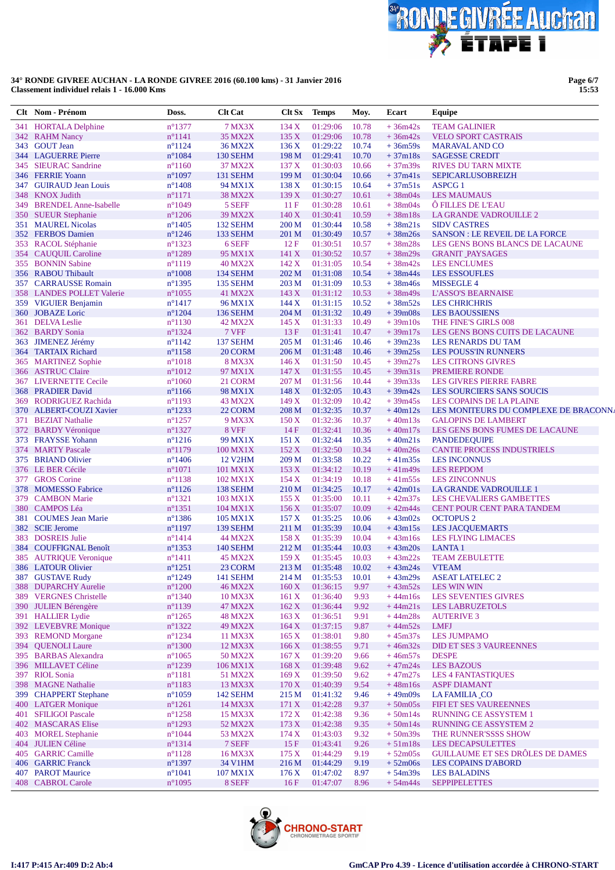

Page 6/7<br>15:53

|            | Clt Nom - Prénom                           | Doss.                                | <b>Clt Cat</b>             | Clt Sx           | <b>Temps</b>         | Moy.           | Ecart                  | Equipe                                                       |
|------------|--------------------------------------------|--------------------------------------|----------------------------|------------------|----------------------|----------------|------------------------|--------------------------------------------------------------|
| 341        | <b>HORTALA Delphine</b>                    | $n^{\circ}$ 1377                     | <b>7 MX3X</b>              | 134X             | 01:29:06             | 10.78          | $+36m42s$              | <b>TEAM GALINIER</b>                                         |
|            | 342 RAHM Nancy                             | $n^{\circ}1141$                      | <b>35 MX2X</b>             | 135 X            | 01:29:06             | 10.78          | $+36m42s$              | <b>VELO SPORT CASTRAIS</b>                                   |
|            | 343 GOUT Jean                              | $n^{\circ}1124$                      | <b>36 MX2X</b>             | 136X             | 01:29:22             | 10.74          | $+36m59s$              | <b>MARAVAL AND CO</b>                                        |
|            | <b>344 LAGUERRE Pierre</b>                 | $n^{\circ}1084$                      | 130 SEHM                   | 198 M            | 01:29:41             | 10.70          | $+37m18s$              | <b>SAGESSE CREDIT</b>                                        |
|            | 345 SIEURAC Sandrine                       | $n^{\circ}1160$                      | 37 MX2X                    | 137X             | 01:30:03             | 10.66          | $+37m39s$              | RIVES DU TARN MIXTE                                          |
|            | 346 FERRIE Yoann                           | $n^{\circ}1097$                      | 131 SEHM                   | 199 M            | 01:30:04             | 10.66          | $+37m41s$              | <b>SEPICARLUSOBREIZH</b>                                     |
| 347        | <b>GUIRAUD Jean Louis</b>                  | $n^{\circ}$ 1408                     | 94 MX1X                    | 138X             | 01:30:15             | 10.64          | $+37m51s$              | <b>ASPCG 1</b>                                               |
| 348        | <b>KNOX Judith</b>                         | $n^{\circ}1171$                      | <b>38 MX2X</b>             | 139X             | 01:30:27             | 10.61          | $+38m04s$              | <b>LES MAUMAUS</b>                                           |
| 349        | <b>BRENDEL Anne-Isabelle</b>               | $n^{\circ}1049$                      | 5 SEFF                     | 11F              | 01:30:28             | 10.61          | $+38m04s$              | <b>O FILLES DE L'EAU</b>                                     |
| 350        | <b>SUEUR Stephanie</b>                     | $n^{\circ}1206$                      | <b>39 MX2X</b>             | 140X             | 01:30:41             | 10.59          | $+38m18s$              | LA GRANDE VADROUILLE 2                                       |
|            | 351 MAUREL Nicolas                         | $n^{\circ}$ 1405                     | 132 SEHM                   | 200 <sub>M</sub> | 01:30:44             | 10.58          | $+38m21s$              | <b>SIDV CASTRES</b>                                          |
|            | 352 FERBOS Damien                          | $n^{\circ}$ 1246                     | 133 SEHM                   | 201 M            | 01:30:49             | 10.57          | $+38m26s$              | <b>SANSON: LE REVEIL DE LA FORCE</b>                         |
|            | 353 RACOL Stéphanie                        | $n^{\circ}$ 1323                     | 6 SEFF                     | 12F              | 01:30:51             | 10.57          | $+38m28s$              | LES GENS BONS BLANCS DE LACAUNE                              |
| 354        | <b>CAUQUIL Caroline</b>                    | $n^{\circ}1289$                      | 95 MX1X                    | 141 X            | 01:30:52             | 10.57          | $+38m29s$              | <b>GRANIT PAYSAGES</b>                                       |
|            | 355 BONNIN Sabine                          | $n^{\circ}1119$                      | <b>40 MX2X</b>             | 142X             | 01:31:05             | 10.54          | $+38m42s$              | <b>LES ENCLUMES</b>                                          |
|            | 356 RABOU Thibault                         | $n^{\circ}1008$                      | 134 SEHM                   | 202 <sub>M</sub> | 01:31:08             | 10.54          | $+38m44s$              | <b>LES ESSOUFLES</b>                                         |
| 357        | <b>CARRAUSSE Romain</b>                    | $n^{\circ}$ 1395                     | 135 SEHM                   | 203 M            | 01:31:09             | 10.53          | $+38m46s$              | <b>MISSEGLE 4</b>                                            |
|            | 358 LANDES POLLET Valerie                  | $n^{\circ}1055$                      | 41 MX2X                    | 143 X<br>144X    | 01:31:12             | 10.53<br>10.52 | $+38m49s$              | <b>L'ASSO'S BEARNAISE</b>                                    |
|            | 359 VIGUIER Benjamin                       | $n^{\circ}$ 1417<br>$n^{\circ}1204$  | 96 MX1X                    |                  | 01:31:15             | 10.49          | $+38m52s$              | <b>LES CHRICHRIS</b>                                         |
| 360<br>361 | <b>JOBAZE</b> Loric<br><b>DELVA Leslie</b> | $n^{\circ}1130$                      | <b>136 SEHM</b><br>42 MX2X | 204 M<br>145 X   | 01:31:32<br>01:31:33 | 10.49          | $+39m08s$<br>$+39m10s$ | <b>LES BAOUSSIENS</b><br>THE FINE'S GIRLS 008                |
|            | 362 BARDY Sonia                            | $n^{\circ}$ 1324                     | 7 VFF                      | 13F              | 01:31:41             | 10.47          | $+39m17s$              | LES GENS BONS CUITS DE LACAUNE                               |
|            | 363 JIMENEZ Jérémy                         | $n^{\circ}1142$                      | 137 SEHM                   | 205 M            | 01:31:46             | 10.46          | $+39m23s$              | LES RENARDS DU TAM                                           |
| 364        | <b>TARTAIX Richard</b>                     | $n^{\circ}1158$                      | 20 CORM                    | 206 M            | 01:31:48             | 10.46          | $+39m25s$              | <b>LES POUSS'IN RUNNERS</b>                                  |
|            | 365 MARTINEZ Sophie                        | $n^{\circ}1018$                      | <b>8 MX3X</b>              | 146X             | 01:31:50             | 10.45          | $+39m27s$              | <b>LES CITRONS GIVRES</b>                                    |
| 366        | <b>ASTRUC Claire</b>                       | $n^{\circ}1012$                      | 97 MX1X                    | 147X             | 01:31:55             | 10.45          | $+39m31s$              | PREMIERE RONDE                                               |
|            | <b>367 LIVERNETTE Cecile</b>               | $n^{\circ}1060$                      | 21 CORM                    | 207 M            | 01:31:56             | 10.44          | $+39m33s$              | <b>LES GIVRES PIERRE FABRE</b>                               |
| 368        | <b>PRADIER David</b>                       | $n^{\circ}1166$                      | 98 MX1X                    | 148X             | 01:32:05             | 10.43          | $+39m42s$              | LES SOURCIERS SANS SOUCIS                                    |
| 369        | RODRIGUEZ Rachida                          | $n^{\circ}1193$                      | 43 MX2X                    | 149X             | 01:32:09             | 10.42          | $+39m45s$              | LES COPAINS DE LA PLAINE                                     |
| 370        | <b>ALBERT-COUZI Xavier</b>                 | $n^{\circ}1233$                      | 22 CORM                    | 208 M            | 01:32:35             | 10.37          | $+40m12s$              | LES MONITEURS DU COMPLEXE DE BRACONN                         |
| 371        | <b>BEZIAT Nathalie</b>                     | $n^{\circ}$ 1257                     | 9 MX3X                     | 150X             | 01:32:36             | 10.37          | $+40m13s$              | <b>GALOPINS DE LAMBERT</b>                                   |
|            | 372 BARDY Véronique                        | $n^{\circ}$ 1327                     | 8 VFF                      | 14F              | 01:32:41             | 10.36          | $+40m17s$              | LES GENS BONS FUMES DE LACAUNE                               |
|            | 373 FRAYSSE Yohann                         | $n^{\circ}1216$                      | 99 MX1X                    | 151X             | 01:32:44             | 10.35          | $+40m21s$              | <b>PANDEDEQUIPE</b>                                          |
|            | 374 MARTY Pascale                          | $n^{\circ}1179$                      | 100 MX1X                   | 152X             | 01:32:50             | 10.34          | $+40m26s$              | <b>CANTIE PROCESS INDUSTRIELS</b>                            |
|            | 375 BRIAND Olivier                         | $n^{\circ}$ 1406                     | 12 V <sub>2</sub> HM       | 209 M            | 01:33:58             | 10.22          | $+41m35s$              | <b>LES INCONNUS</b>                                          |
|            | 376 LE BER Cécile                          | $n^{\circ}1071$                      | 101 MX1X                   | 153X             | 01:34:12             | 10.19          | $+41m49s$              | <b>LES REPDOM</b>                                            |
|            | 377 GROS Corine                            | $n^{\circ}1138$                      | 102 MX1X                   | 154X             | 01:34:19             | 10.18          | $+41m55s$              | <b>LES ZINCONNUS</b>                                         |
| 378        | <b>MOMESSO Fabrice</b>                     | $n^{\circ}1126$                      | 138 SEHM                   | 210 <sub>M</sub> | 01:34:25             | 10.17          | $+42m01s$              | LA GRANDE VADROUILLE 1                                       |
| 379        | <b>CAMBON Marie</b>                        | $n^{\circ}1321$                      | 103 MX1X                   | 155X             | 01:35:00             | 10.11          | $+42m37s$              | <b>LES CHEVALIERS GAMBETTES</b>                              |
|            | 380 CAMPOS Léa                             | $n^{\circ}$ 1351                     | 104 MX1X                   | 156X             | 01:35:07             | 10.09          | $+42m44s$              | CENT POUR CENT PARA TANDEM                                   |
| 381        | <b>COUMES</b> Jean Marie                   | $n^{\circ}$ 1386                     | 105 MX1X                   | 157 <sub>X</sub> | 01:35:25             | 10.06          | $+43m02s$              | <b>OCTOPUS 2</b>                                             |
|            | 382 SCIE Jerome                            | $n^{\circ}1197$                      | 139 SEHM                   | 211 M            | 01:35:39             | 10.04          | $+43m15s$              | <b>LES JACQUEMARTS</b>                                       |
|            | 383 DOSREIS Julie                          | $n^{\circ}1414$                      | 44 MX2X                    | 158X             | 01:35:39             | 10.04          | $+43m16s$              | <b>LES FLYING LIMACES</b>                                    |
|            | 384 COUFFIGNAL Benoît                      | $n^{\circ}$ 1353                     | <b>140 SEHM</b>            | 212 M            | 01:35:44             | 10.03          | $+43m20s$              | <b>LANTA1</b>                                                |
|            | 385 AUTRIQUE Veronique                     | $n^{\circ}1411$                      | <b>45 MX2X</b>             | 159X             | 01:35:45             | 10.03          | $+43m22s$              | <b>TEAM ZEBULETTE</b>                                        |
|            | 386 LATOUR Olivier                         | $n^{\circ}1251$                      | 23 CORM                    |                  | 213 M 01:35:48 10.02 |                | $+43m24s$              | <b>VTEAM</b>                                                 |
|            | 387 GUSTAVE Rudy                           | $n^{\circ}1249$                      | <b>141 SEHM</b>            | 214 M            | 01:35:53             | 10.01          | $+43m29s$              | <b>ASEAT LATELEC 2</b>                                       |
| 388        | <b>DUPARCHY Aurelie</b>                    | $n^{\circ}1200$                      | <b>46 MX2X</b>             | 160X             | 01:36:15             | 9.97           | $+43m52s$              | <b>LES WIN WIN</b>                                           |
|            | 389 VERGNES Christelle                     | $n^{\circ}$ 1340                     | 10 MX3X                    | 161 X            | 01:36:40             | 9.93           | $+44m16s$              | <b>LES SEVENTIES GIVRES</b>                                  |
| <b>390</b> | <b>JULIEN Bérengère</b>                    | $n^{\circ}1139$                      | 47 MX2X                    | 162 X            | 01:36:44             | 9.92           | $+44m21s$              | <b>LES LABRUZETOLS</b>                                       |
|            | 391 HALLIER Lydie                          | $n^{\circ}1265$                      | 48 MX2X                    | 163 X            | 01:36:51             | 9.91           | $+44m28s$              | <b>AUTERIVE 3</b>                                            |
|            | 392 LEVEBVRE Monique                       | $n^{\circ}$ 1322                     | 49 MX2X                    | 164X             | 01:37:15             | 9.87           | $+44m52s$              | <b>LMFJ</b>                                                  |
|            | 393 REMOND Morgane                         | $n^{\circ}$ 1234                     | 11 MX3X                    | 165 X            | 01:38:01             | 9.80           | $+45m37s$              | <b>LES JUMPAMO</b>                                           |
|            | 394 QUENOLI Laure                          | $n^{\circ}1300$                      | 12 MX3X                    | 166X             | 01:38:55             | 9.71           | $+46m32s$              | DID ET SES 3 VAUREENNES                                      |
|            | 395 BARBAS Alexandra                       | $n^{\circ}1065$                      | 50 MX2X                    | 167 X            | 01:39:20             | 9.66           | $+46m57s$              | <b>DESPE</b>                                                 |
|            | 396 MILLAVET Céline                        | $n^{\circ}1239$                      | 106 MX1X                   | 168 X            | 01:39:48             | 9.62           | $+47m24s$              | <b>LES BAZOUS</b>                                            |
|            | 397 RIOL Sonia                             | $n^{\circ}1181$                      | 51 MX2X                    | 169X             | 01:39:50             | 9.62           | $+47m27s$              | <b>LES 4 FANTASTIQUES</b>                                    |
|            | 398 MAGNE Nathalie                         | $n^{\circ}1183$                      | 13 MX3X                    | 170X             | 01:40:39             | 9.54           | $+48m16s$              | <b>ASPF DIAMANT</b>                                          |
|            | 399 CHAPPERT Stephane                      | $n^{\circ}1059$                      | 142 SEHM                   | 215 M            | 01:41:32             | 9.46           | $+49m09s$              | <b>LA FAMILIA CO</b>                                         |
|            | 400 LATGER Monique<br>401 SFILIGOI Pascale | $n^{\circ}1261$                      | 14 MX3X                    | 171 X            | 01:42:28             | 9.37           | $+50m05s$              | FIFI ET SES VAUREENNES                                       |
|            | 402 MASCARAS Elise                         | $n^{\circ}$ 1258<br>$n^{\circ}$ 1293 | 15 MX3X<br>52 MX2X         | 172 X<br>173 X   | 01:42:38<br>01:42:38 | 9.36<br>9.35   | $+50m14s$<br>$+50m14s$ | <b>RUNNING CE ASSYSTEM 1</b><br><b>RUNNING CE ASSYSTEM 2</b> |
| 403        | <b>MOREL Stephanie</b>                     | $n^{\circ}1044$                      | 53 MX2X                    | 174 X            | 01:43:03             | 9.32           | $+50m39s$              | THE RUNNER'SSSS SHOW                                         |
|            | 404 JULIEN Céline                          | $n^{\circ}1314$                      | 7 SEFF                     | 15F              | 01:43:41             | 9.26           | $+51m18s$              | LES DECAPSULETTES                                            |
|            | 405 GARRIC Camille                         | $n^{\circ}1128$                      | 16 MX3X                    | 175 X            | 01:44:29             | 9.19           | $+52m05s$              | GUILLAUME ET SES DRÔLES DE DAMES                             |
|            | 406 GARRIC Franck                          | $n^{\circ}$ 1397                     | 34 V1HM                    | 216 M            | 01:44:29             | 9.19           | $+52m06s$              | <b>LES COPAINS D'ABORD</b>                                   |
|            | 407 PAROT Maurice                          | $n^{\circ}1041$                      | 107 MX1X                   | 176X             | 01:47:02             | 8.97           | $+54m39s$              | <b>LES BALADINS</b>                                          |
|            | 408 CABROL Carole                          | $n^{\circ}1095$                      | 8 SEFF                     | 16F              | 01:47:07             | 8.96           | $+54m44s$              | <b>SEPPIPELETTES</b>                                         |
|            |                                            |                                      |                            |                  |                      |                |                        |                                                              |